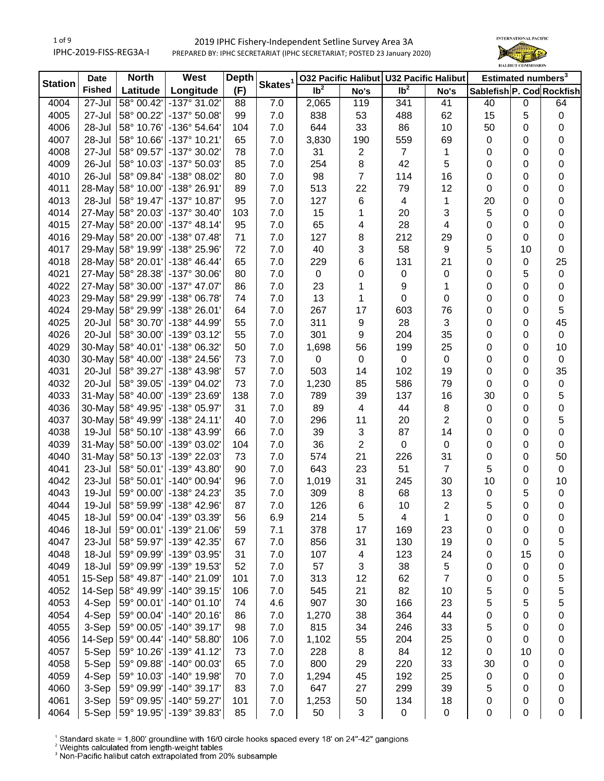# 1 of 9 IPHC-2019-FISS-REG3A-I

# 2019 IPHC Fishery-Independent Setline Survey Area 3A PREPARED BY: IPHC SECRETARIAT (IPHC SECRETARIAT; POSTED 23 January 2020)



| <b>Station</b>    | <b>Date</b>   | <b>North</b>      | West                         | <b>Depth</b> |                     |                   |                         | 032 Pacific Halibut U32 Pacific Halibut |                         | Estimated numbers <sup>3</sup> |           |                |
|-------------------|---------------|-------------------|------------------------------|--------------|---------------------|-------------------|-------------------------|-----------------------------------------|-------------------------|--------------------------------|-----------|----------------|
|                   | <b>Fished</b> | Latitude          | Longitude                    | (F)          | Skates <sup>1</sup> | $\overline{1}b^2$ | No's                    | $\overline{\mathsf{lb}^2}$              | No's                    | Sablefish P. Cod Rockfish      |           |                |
| $\overline{40}04$ | 27-Jul        | 58° 00.42'        | $-137^\circ 31.02'$          | 88           | 7.0                 | 2,065             | 119                     | 341                                     | 41                      | 40                             | $\pmb{0}$ | 64             |
| 4005              | 27-Jul        | 58° 00.22'        | -137° 50.08'                 | 99           | 7.0                 | 838               | 53                      | 488                                     | 62                      | 15                             | 5         | $\pmb{0}$      |
| 4006              | 28-Jul        | 58° 10.76'        | -136° 54.64'                 | 104          | 7.0                 | 644               | 33                      | 86                                      | 10                      | 50                             | 0         | 0              |
| 4007              | 28-Jul        | 58° 10.66'        | -137° 10.21'                 | 65           | 7.0                 | 3,830             | 190                     | 559                                     | 69                      | $\pmb{0}$                      | 0         | 0              |
| 4008              | 27-Jul        | 58° 09.57'        | -137° 30.02'                 | 78           | 7.0                 | 31                | $\overline{c}$          | $\overline{7}$                          | 1                       | 0                              | 0         | 0              |
| 4009              | 26-Jul        | 58° 10.03'        | -137° 50.03'                 | 85           | 7.0                 | 254               | 8                       | 42                                      | 5                       | 0                              | 0         | 0              |
| 4010              | 26-Jul        | 58° 09.84'        | -138° 08.02'                 | 80           | 7.0                 | 98                | $\overline{7}$          | 114                                     | 16                      | 0                              | 0         | 0              |
| 4011              | $28$ -May     | 58° 10.00'        | -138° 26.91'                 | 89           | 7.0                 | 513               | 22                      | 79                                      | 12                      | 0                              | 0         | 0              |
| 4013              | 28-Jul        | 58° 19.47'        | -137° 10.87'                 | 95           | 7.0                 | 127               | 6                       | 4                                       | 1                       | 20                             | 0         | 0              |
| 4014              | 27-May        | 58° 20.03'        | $-137°30.40'$                | 103          | 7.0                 | 15                | 1                       | 20                                      | 3                       | 5                              | 0         | $\pmb{0}$      |
| 4015              | 27-May        | 58° 20.00'        | $-137°$ 48.14                | 95           | 7.0                 | 65                | 4                       | 28                                      | $\overline{\mathbf{4}}$ | 0                              | 0         | $\pmb{0}$      |
| 4016              | 29-May        | 58° 20.00'        | -138° 07.48'                 | 71           | 7.0                 | 127               | 8                       | 212                                     | 29                      | $\pmb{0}$                      | 0         | $\pmb{0}$      |
| 4017              | 29-May        | 58° 19.99'        | -138° 25.96'                 | 72           | 7.0                 | 40                | 3                       | 58                                      | 9                       | 5                              | 10        | $\mathbf 0$    |
| 4018              | 28-May        | 58° 20.01'        | -138° 46.44'                 | 65           | 7.0                 | 229               | 6                       | 131                                     | 21                      | 0                              | 0         | 25             |
| 4021              | 27-May        | 58° 28.38'        | -137° 30.06'                 | 80           | 7.0                 | 0                 | 0                       | 0                                       | 0                       | 0                              | 5         | $\pmb{0}$      |
| 4022              | $27$ -May     | 58° 30.00'        | -137° 47.07'                 | 86           | 7.0                 | 23                | 1                       | 9                                       | 1                       |                                | 0         | 0              |
| 4023              | 29-May        |                   | -138° 06.78'                 |              |                     |                   |                         |                                         |                         | 0                              |           |                |
|                   |               | 58° 29.99'        |                              | 74           | 7.0                 | 13                | 1                       | 0                                       | 0                       | 0                              | 0         | 0              |
| 4024              | 29-May        | 58° 29.99'        | -138° 26.01'                 | 64           | 7.0                 | 267               | 17                      | 603                                     | 76                      | 0                              | 0         | $\,$ 5 $\,$    |
| 4025              | 20-Jul        | 58° 30.70'        | -138° 44.99'                 | 55           | 7.0                 | 311               | 9                       | 28                                      | 3                       | 0                              | 0         | 45             |
| 4026              | 20-Jul        | 58° 30.00'        | -139° 03.12'                 | 55           | 7.0                 | 301               | 9                       | 204                                     | 35                      | 0                              | 0         | $\mathsf 0$    |
| 4029              | 30-May        | 58° 40.01'        | -138° 06.32'                 | 50           | 7.0                 | 1,698             | 56                      | 199                                     | 25                      | 0                              | 0         | 10             |
| 4030              | 30-May        | 58° 40.00'        | -138° 24.56'                 | 73           | 7.0                 | 0                 | 0                       | 0                                       | 0                       | 0                              | 0         | $\pmb{0}$      |
| 4031              | 20-Jul        | 58° 39.27'        | -138° 43.98'                 | 57           | 7.0                 | 503               | 14                      | 102                                     | 19                      | 0                              | 0         | 35             |
| 4032              | 20-Jul        | 58° 39.05'        | -139° 04.02'                 | 73           | 7.0                 | 1,230             | 85                      | 586                                     | 79                      | $\pmb{0}$                      | 0         | $\pmb{0}$      |
| 4033              |               | 31-May 58° 40.00' | -139° 23.69'                 | 138          | 7.0                 | 789               | 39                      | 137                                     | 16                      | 30                             | 0         | $\,$ 5 $\,$    |
| 4036              | 30-May        | 58° 49.95'        | -138° 05.97'                 | 31           | 7.0                 | 89                | $\overline{\mathbf{4}}$ | 44                                      | 8                       | $\pmb{0}$                      | 0         | $\pmb{0}$      |
| 4037              | 30-May        | 58° 49.99'        | $-138°$ 24.11'               | 40           | 7.0                 | 296               | 11                      | 20                                      | $\overline{2}$          | $\pmb{0}$                      | 0         | $\sqrt{5}$     |
| 4038              | 19-Jul        | 58° 50.10'        | -138° 43.99'                 | 66           | 7.0                 | 39                | 3                       | 87                                      | 14                      | $\pmb{0}$                      | 0         | $\pmb{0}$      |
| 4039              | 31-May        | 58° 50.00'        | -139° 03.02'                 | 104          | 7.0                 | 36                | $\overline{2}$          | $\pmb{0}$                               | $\pmb{0}$               | $\pmb{0}$                      | 0         | $\pmb{0}$      |
| 4040              | 31-May        | 58° 50.13'        | -139° 22.03'                 | 73           | 7.0                 | 574               | 21                      | 226                                     | 31                      | $\pmb{0}$                      | 0         | 50             |
| 4041              | 23-Jul        | 58° 50.01'        | -139° 43.80'                 | 90           | 7.0                 | 643               | 23                      | 51                                      | $\overline{7}$          | 5                              | 0         | $\mathbf 0$    |
| 4042              | 23-Jul        | 58° 50.01'        | -140° 00.94'                 | 96           | 7.0                 | 1,019             | 31                      | 245                                     | 30                      | 10                             | 0         | 10             |
| 4043              | 19-Jul        | 59° 00.00'        | -138° 24.23'                 | 35           | 7.0                 | 309               | 8                       | 68                                      | 13                      | $\pmb{0}$                      | 5         | 0              |
| 4044              | 19-Jul        | 58° 59.99'        | -138° 42.96'                 | 87           | 7.0                 | 126               | 6                       | 10                                      | $\overline{2}$          | 5                              | 0         | 0              |
| 4045              | 18-Jul        |                   | 59° 00.04' - 139° 03.39'     | 56           | 6.9                 | 214               | 5                       | 4                                       | 1                       | 0                              | 0         | 0              |
| 4046              | 18-Jul        | 59° 00.01'        | -139° 21.06'                 | 59           | 7.1                 | 378               | 17                      | 169                                     | 23                      | 0                              | 0         | 0              |
| 4047              | 23-Jul        | 58° 59.97'        | -139° 42.35'                 | 67           | 7.0                 | 856               | 31                      | 130                                     | 19                      | 0                              | 0         | 5              |
| 4048              | 18-Jul        | 59° 09.99'        | -139° 03.95'                 | 31           | 7.0                 | 107               | 4                       | 123                                     | 24                      | 0                              | 15        | 0              |
| 4049              | 18-Jul        | 59° 09.99'        | -139° 19.53'                 | 52           | 7.0                 | 57                | 3                       | 38                                      | 5                       | 0                              | 0         | 0              |
| 4051              | 15-Sep        | 58° 49.87'        | $-140^{\circ}$ 21.09         | 101          | 7.0                 | 313               | 12                      | 62                                      | $\overline{7}$          | 0                              | 0         | 5              |
| 4052              | 14-Sep        | 58° 49.99'        | $-140^{\circ}$ 39.15         | 106          | 7.0                 | 545               | 21                      | 82                                      | 10                      | 5                              | 0         | 5              |
| 4053              | 4-Sep         | 59° 00.01'        | $-140^{\circ}$ 01.10         | 74           | 4.6                 | 907               | 30                      | 166                                     | 23                      | 5                              | 5         | 5              |
| 4054              | 4-Sep         | 59° 00.04'        | $-140^{\circ} 20.16'$        | 86           | 7.0                 | 1,270             | 38                      | 364                                     | 44                      | 0                              | 0         | 0              |
| 4055              | 3-Sep         | 59° 00.05'        | $-140^{\circ}$ 39.17         | 98           | 7.0                 | 815               | 34                      | 246                                     | 33                      | 5                              | 0         | 0              |
| 4056              | 14-Sep        | 59° 00.44'        | $-140^{\circ} 58.80^{\circ}$ | 106          | 7.0                 | 1,102             | 55                      | 204                                     | 25                      | 0                              | 0         | 0              |
| 4057              | 5-Sep         | 59° 10.26'        | $-139°$ 41.12                | 73           | 7.0                 | 228               | 8                       | 84                                      | 12                      | 0                              | 10        | 0              |
| 4058              | 5-Sep         | 59° 09.88'        | $-140^{\circ}$ 00.03         | 65           | 7.0                 | 800               | 29                      | 220                                     | 33                      | 30                             | 0         | 0              |
| 4059              | 4-Sep         | 59° 10.03'        | -140° 19.98'                 | 70           | 7.0                 | 1,294             | 45                      | 192                                     | 25                      | 0                              | 0         | 0              |
| 4060              | 3-Sep         | 59° 09.99'        | $-140^{\circ}$ 39.17         | 83           | 7.0                 | 647               | 27                      | 299                                     | 39                      | 5                              | 0         | 0              |
| 4061              | 3-Sep         | 59° 09.95'        | -140° 59.27'                 | 101          | 7.0                 | 1,253             | 50                      | 134                                     | 18                      |                                | 0         |                |
| 4064              | 5-Sep         |                   | 59° 19.95' - 139° 39.83'     | 85           | 7.0                 | 50                | 3                       | 0                                       | 0                       | 0<br>0                         | 0         | 0<br>$\pmb{0}$ |
|                   |               |                   |                              |              |                     |                   |                         |                                         |                         |                                |           |                |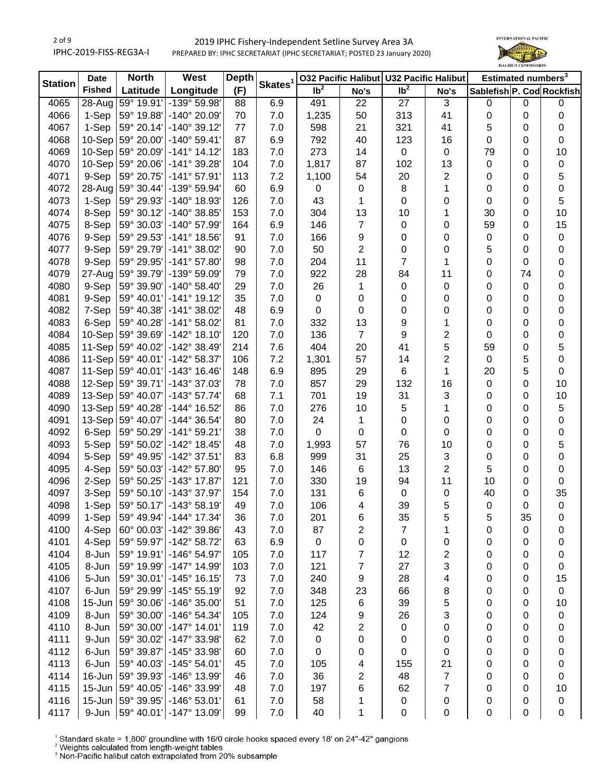

| <b>Station</b> | <b>Date</b>   | <b>North</b><br>West |                           | <b>Depth</b> |                     | <b>032 Pacific Halibut</b> |                         | <b>U32 Pacific Halibut</b> |                         | Estimated numbers <sup>3</sup> |    |             |
|----------------|---------------|----------------------|---------------------------|--------------|---------------------|----------------------------|-------------------------|----------------------------|-------------------------|--------------------------------|----|-------------|
|                | <b>Fished</b> | Latitude             | Longitude                 | (F)          | Skates <sup>1</sup> | Ib <sup>2</sup>            | No's                    | Ib <sup>2</sup>            | No's                    | Sablefish P. Cod Rockfish      |    |             |
| 4065           | $28 - Aug$    | 59° 19.91'           | -139° 59.98'              | 88           | 6.9                 | 491                        | 22                      | 27                         | 3                       | 0                              | 0  | 0           |
| 4066           | 1-Sep         | 59° 19.88'           | -140° 20.09'              | 70           | 7.0                 | 1,235                      | 50                      | 313                        | 41                      | $\pmb{0}$                      | 0  | 0           |
| 4067           | 1-Sep         | 59° 20.14'           | $-140^{\circ}$ 39.12'     | 77           | 7.0                 | 598                        | 21                      | 321                        | 41                      | 5                              | 0  | $\pmb{0}$   |
| 4068           | 10-Sep        | 59° 20.00'           | $-140^{\circ}$ 59.41'     | 87           | 6.9                 | 792                        | 40                      | 123                        | 16                      | 0                              | 0  | 0           |
| 4069           | 10-Sep        | 59° 20.09'           | $-141°$ 14.12             | 183          | 7.0                 | 273                        | 14                      | 0                          | 0                       | 79                             | 0  | 10          |
| 4070           | 10-Sep        | 59° 20.06'           | -141° 39.28'              | 104          | 7.0                 | 1,817                      | 87                      | 102                        | 13                      | 0                              | 0  | $\pmb{0}$   |
| 4071           | 9-Sep         | 59° 20.75'           | $-141°57.91'$             | 113          | 7.2                 | 1,100                      | 54                      | 20                         | 2                       | 0                              | 0  | 5           |
| 4072           | 28-Aug        | 59° 30.44'           | -139° 59.94'              | 60           | 6.9                 | 0                          | $\pmb{0}$               | 8                          | 1                       | 0                              | 0  | $\pmb{0}$   |
| 4073           | 1-Sep         | 59° 29.93'           | -140° 18.93'              | 126          | 7.0                 | 43                         | $\mathbf{1}$            | 0                          | $\mathbf 0$             | $\pmb{0}$                      | 0  | 5           |
| 4074           | 8-Sep         | 59° 30.12'           | -140° 38.85'              | 153          | 7.0                 | 304                        | 13                      | 10                         | 1                       | 30                             | 0  | 10          |
| 4075           | 8-Sep         | 59° 30.03'           | -140° 57.99'              | 164          | 6.9                 | 146                        | $\overline{7}$          | 0                          | 0                       | 59                             | 0  | 15          |
| 4076           | 9-Sep         | 59° 29.53'           | -141° 18.56'              | 91           | 7.0                 | 166                        | $\boldsymbol{9}$        | 0                          | $\boldsymbol{0}$        | 0                              | 0  | $\pmb{0}$   |
| 4077           | 9-Sep         | 59° 29.79'           | $-141^{\circ}$ 38.02'     | 90           | 7.0                 | 50                         | $\overline{\mathbf{c}}$ | 0                          | $\boldsymbol{0}$        | 5                              | 0  | $\,0\,$     |
| 4078           | 9-Sep         | 59° 29.95'           | $-141^{\circ}$ 57.80'     | 98           | 7.0                 | 204                        | 11                      | $\overline{7}$             | 1                       | $\pmb{0}$                      | 0  | $\,0\,$     |
| 4079           | 27-Aug        | 59° 39.79'           |                           | 79           |                     |                            |                         |                            | 11                      |                                |    |             |
|                |               |                      | -139° 59.09'              |              | 7.0                 | 922                        | 28                      | 84                         |                         | 0                              | 74 | $\,0\,$     |
| 4080           | 9-Sep         | 59° 39.90'           | $-140^{\circ}$ 58.40'     | 29           | 7.0                 | 26                         | 1                       | 0                          | $\boldsymbol{0}$        | 0                              | 0  | $\pmb{0}$   |
| 4081           | 9-Sep         | 59° 40.01'           | $-141°$ 19.12'            | 35           | 7.0                 | 0                          | 0                       | 0                          | $\boldsymbol{0}$        | 0                              | 0  | $\,0\,$     |
| 4082           | 7-Sep         | 59° 40.38'           | $-141°38.02'$             | 48           | 6.9                 | 0                          | 0                       | 0                          | $\mathbf 0$             | 0                              | 0  | $\,0\,$     |
| 4083           | 6-Sep         | 59° 40.28'           | -141° 58.02'              | 81           | 7.0                 | 332                        | 13                      | 9                          | 1                       | 0                              | 0  | $\,0\,$     |
| 4084           | 10-Sep        | 59° 39.69'           | $-142^{\circ}$ 18.10      | 120          | 7.0                 | 136                        | $\overline{7}$          | 9                          | 2                       | 0                              | 0  | $\pmb{0}$   |
| 4085           | 11-Sep        | 59° 40.02'           | $-142^{\circ}$ 38.49'     | 214          | 7.6                 | 404                        | 20                      | 41                         | 5                       | 59                             | 0  | 5           |
| 4086           | 11-Sep        | 59° 40.01'           | -142° 58.37'              | 106          | 7.2                 | 1,301                      | 57                      | 14                         | 2                       | 0                              | 5  | $\pmb{0}$   |
| 4087           | 11-Sep        | 59° 40.01'           | $-143°$ 16.46'            | 148          | 6.9                 | 895                        | 29                      | 6                          | 1                       | 20                             | 5  | 0           |
| 4088           | 12-Sep        | 59° 39.71'           | -143° 37.03'              | 78           | 7.0                 | 857                        | 29                      | 132                        | 16                      | 0                              | 0  | 10          |
| 4089           | $13-Sep$      | 59° 40.07'           | $-143^{\circ}57.74'$      | 68           | 7.1                 | 701                        | 19                      | 31                         | 3                       | 0                              | 0  | 10          |
| 4090           | $13-Sep$      | 59° 40.28'           | -144° 16.52'              | 86           | 7.0                 | 276                        | 10                      | 5                          | 1                       | 0                              | 0  | 5           |
| 4091           | $13-Sep$      | 59° 40.07'           | -144° 36.54'              | 80           | 7.0                 | 24                         | 1                       | 0                          | $\mathbf 0$             | $\pmb{0}$                      | 0  | $\,0\,$     |
| 4092           | 6-Sep         | 59° 50.29'           | $-141°59.21'$             | 38           | 7.0                 | 0                          | $\pmb{0}$               | 0                          | $\pmb{0}$               | $\pmb{0}$                      | 0  | $\pmb{0}$   |
| 4093           | 5-Sep         | 59° 50.02'           | $-142^{\circ}$ 18.45'     | 48           | 7.0                 | 1,993                      | 57                      | 76                         | 10                      | $\pmb{0}$                      | 0  | 5           |
| 4094           | 5-Sep         | 59° 49.95'           | -142° 37.51'              | 83           | 6.8                 | 999                        | 31                      | 25                         | 3                       | 0                              | 0  | $\,0\,$     |
| 4095           | 4-Sep         | 59° 50.03'           | -142° 57.80'              | 95           | 7.0                 | 146                        | 6                       | 13                         | $\overline{c}$          | 5                              | 0  | $\,0\,$     |
| 4096           | 2-Sep         | 59° 50.25'           | -143° 17.87'              | 121          | 7.0                 | 330                        | 19                      | 94                         | 11                      | 10                             | 0  | 0           |
| 4097           | 3-Sep         | 59° 50.10'           | -143° 37.97'              | 154          | 7.0                 | 131                        | 6                       | 0                          | $\pmb{0}$               | 40                             | 0  | 35          |
| 4098           | 1-Sep         | 59° 50.17'           | $-143°58.19'$             | 49           | 7.0                 | 106                        | 4                       | 39                         | 5                       | $\pmb{0}$                      | 0  | $\mathbf 0$ |
| 4099           | 1-Sep         |                      | 59° 49.94'   -144° 17.34' | 36           | 7.0                 | 201                        | 6                       | 35                         | 5                       | 5                              | 35 | 0           |
| 4100           | 4-Sep         | 60° 00.03'           | -142° 39.86'              | 43           | 7.0                 | 87                         | 2                       | 7                          | 1                       | 0                              | 0  | 0           |
| 4101           | 4-Sep         | 59° 59.97'           | -142° 58.72'              | 63           | 6.9                 | 0                          | $\pmb{0}$               | 0                          | 0                       | 0                              | 0  | 0           |
| 4104           | 8-Jun         | 59° 19.91'           | -146° 54.97'              | 105          | 7.0                 | 117                        | 7                       | 12                         | $\overline{\mathbf{c}}$ | 0                              | 0  | 0           |
| 4105           | 8-Jun         | 59° 19.99'           | -147° 14.99'              | 103          | 7.0                 | 121                        | 7                       | 27                         | 3                       | 0                              | 0  | $\pmb{0}$   |
| 4106           | 5-Jun         | 59° 30.01'           | $-145°$ 16.15'            | 73           | 7.0                 | 240                        | 9                       | 28                         | 4                       | 0                              | 0  | 15          |
| 4107           | 6-Jun         | 59° 29.99'           | $-145^{\circ} 55.19'$     | 92           | 7.0                 | 348                        | 23                      | 66                         | 8                       | 0                              | 0  | $\pmb{0}$   |
| 4108           | 15-Jun        | 59° 30.06'           | $-146^{\circ}$ 35.00'     | 51           | 7.0                 | 125                        | 6                       | 39                         | 5                       | 0                              | 0  | 10          |
| 4109           | 8-Jun         | 59° 30.00'           | $-146°54.34'$             | 105          | 7.0                 | 124                        | 9                       | 26                         | 3                       | 0                              | 0  | $\pmb{0}$   |
| 4110           | 8-Jun         | 59° 30.00'           | $-147°$ 14.01'            | 119          | 7.0                 | 42                         | 2                       | 0                          | $\boldsymbol{0}$        | 0                              | 0  | 0           |
| 4111           | 9-Jun         | 59° 30.02'           | -147° 33.98'              | 62           | 7.0                 | 0                          | $\pmb{0}$               | 0                          | $\pmb{0}$               | $\pmb{0}$                      | 0  | 0           |
| 4112           | 6-Jun         | 59° 39.87'           | -145° 33.98'              | 60           | 7.0                 | 0                          | 0                       | 0                          | 0                       | $\pmb{0}$                      | 0  | 0           |
| 4113           | 6-Jun         | 59° 40.03'           | $-145^{\circ} 54.01'$     | 45           | 7.0                 | 105                        | 4                       | 155                        | 21                      | 0                              | 0  | 0           |
| 4114           | 16-Jun        | 59° 39.93'           | -146° 13.99'              | 46           | 7.0                 | 36                         | 2                       | 48                         | 7                       | 0                              | 0  | 0           |
| 4115           | 15-Jun        | 59° 40.05'           | -146° 33.99'              | 48           | 7.0                 | 197                        | 6                       | 62                         | $\overline{7}$          | 0                              | 0  | 10          |
| 4116           | $15$ -Jun     | 59° 39.95'           | $-146°53.01'$             | 61           | 7.0                 | 58                         | 1                       | 0                          | 0                       | 0                              | 0  | $\pmb{0}$   |
| 4117           | 9-Jun         | 59° 40.01'           | -147° 13.09'              | 99           | 7.0                 | 40                         | 1                       | 0                          | 0                       | $\pmb{0}$                      | 0  | 0           |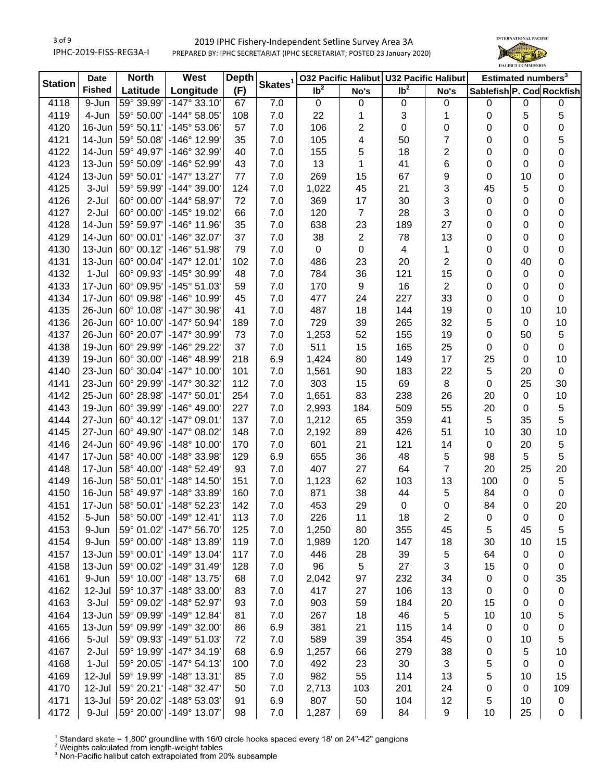### 2019 IPHC Fishery-Independent Setline Survey Area 3A PREPARED BY: IPHC SECRETARIAT (IPHC SECRETARIAT; POSTED 23 January 2020)



| <b>Station</b> | <b>Date</b>   | <b>North</b> | West                     | <b>Depth</b> |                     |                   |                | 032 Pacific Halibut U32 Pacific Halibut |                         | Estimated numbers <sup>3</sup> |             |             |
|----------------|---------------|--------------|--------------------------|--------------|---------------------|-------------------|----------------|-----------------------------------------|-------------------------|--------------------------------|-------------|-------------|
|                | <b>Fished</b> | Latitude     | Longitude                | (F)          | Skates <sup>1</sup> | $\overline{1}b^2$ | No's           | Ib <sup>2</sup>                         | No's                    | Sablefish P. Cod Rockfish      |             |             |
| 4118           | 9-Jun         | 59° 39.99'   | $-147°33.10'$            | 67           | 7.0                 | $\mathbf 0$       | 0              | $\pmb{0}$                               | 0                       | $\mathbf 0$                    | 0           | $\mathbf 0$ |
| 4119           | 4-Jun         | 59° 50.00'   | $-144^{\circ} 58.05'$    | 108          | 7.0                 | 22                | 1              | 3                                       | 1                       | 0                              | 5           | 5           |
| 4120           | 16-Jun        | 59° 50.11'   | $-145^{\circ} 53.06'$    | 57           | 7.0                 | 106               | $\mathbf{2}$   | 0                                       | 0                       | 0                              | 0           | $\pmb{0}$   |
| 4121           | 14-Jun        | 59° 50.08'   | -146° 12.99'             | 35           | 7.0                 | 105               | 4              | 50                                      | 7                       | 0                              | 0           | 5           |
| 4122           | 14-Jun        | 59° 49.97'   | -146° 32.99'             | 40           | 7.0                 | 155               | 5              | 18                                      | 2                       | 0                              | 0           | 0           |
| 4123           | 13-Jun        | 59° 50.09'   | -146° 52.99'             | 43           | 7.0                 | 13                | 1              | 41                                      | 6                       | 0                              | 0           | $\mathbf 0$ |
| 4124           | $13 - Jun$    | 59° 50.01'   | $-147°$ 13.27            | 77           | 7.0                 | 269               | 15             | 67                                      | 9                       | 0                              | 10          | $\mathbf 0$ |
| 4125           | 3-Jul         | 59° 59.99'   | $-144^{\circ}$ 39.00     | 124          | 7.0                 | 1,022             | 45             | 21                                      | 3                       | 45                             | 5           | $\pmb{0}$   |
| 4126           | 2-Jul         | 60° 00.00'   | $-144^{\circ} 58.97'$    | 72           | 7.0                 | 369               | 17             | 30                                      | 3                       | 0                              | 0           | $\pmb{0}$   |
| 4127           | 2-Jul         | 60° 00.00'   | -145° 19.02'             | 66           | 7.0                 | 120               | $\overline{7}$ | 28                                      | 3                       | 0                              | 0           | $\pmb{0}$   |
| 4128           | 14-Jun        | 59° 59.97'   | $-146^{\circ}$ 11.96'    | 35           | 7.0                 | 638               | 23             | 189                                     | 27                      | 0                              | 0           | $\pmb{0}$   |
| 4129           | 14-Jun        | 60° 00.01'   | -146° 32.07'             | 37           | 7.0                 | 38                | $\overline{2}$ | 78                                      | 13                      | 0                              | 0           | $\pmb{0}$   |
| 4130           | 13-Jun        | 60° 00.12'   | -146° 51.98'             | 79           | 7.0                 | $\pmb{0}$         | 0              | 4                                       | $\mathbf 1$             | 0                              | 0           | $\pmb{0}$   |
| 4131           | 13-Jun        | 60° 00.04'   | $-147°$ 12.01            | 102          | 7.0                 | 486               | 23             | 20                                      | $\overline{c}$          | 0                              | 40          | $\pmb{0}$   |
| 4132           | $1-Jul$       | 60° 09.93'   | -145° 30.99'             | 48           | 7.0                 | 784               | 36             | 121                                     | 15                      | 0                              | 0           | $\mathbf 0$ |
| 4133           | 17-Jun        | 60° 09.95'   | $-145°51.03'$            | 59           | 7.0                 | 170               | 9              | 16                                      | $\overline{\mathbf{c}}$ | 0                              | 0           | $\mathbf 0$ |
| 4134           | 17-Jun        | 60° 09.98'   | -146° 10.99'             | 45           | 7.0                 | 477               | 24             | 227                                     | 33                      | 0                              | 0           | $\mathbf 0$ |
| 4135           | 26-Jun        | 60° 10.08'   | -147° 30.98'             | 41           | 7.0                 | 487               | 18             | 144                                     | 19                      | 0                              | 10          | 10          |
| 4136           | 26-Jun        | 60° 10.00'   | $-147°50.94'$            | 189          | 7.0                 | 729               | 39             | 265                                     | 32                      | 5                              | 0           | 10          |
| 4137           | 26-Jun        | 60° 20.07'   | -147° 30.99'             | 73           | 7.0                 | 1,253             | 52             | 155                                     | 19                      | 0                              | 50          | 5           |
| 4138           | 19-Jun        | 60° 29.99'   | -146° 29.22'             | 37           | 7.0                 | 511               | 15             | 165                                     | 25                      | 0                              | 0           | $\mathbf 0$ |
| 4139           | 19-Jun        | 60° 30.00'   | $-146^{\circ}$ 48.99     | 218          | 6.9                 | 1,424             | 80             | 149                                     | 17                      | 25                             | 0           | 10          |
| 4140           | 23-Jun        | 60° 30.04'   | $-147^{\circ}$ 10.00     | 101          | 7.0                 | 1,561             | 90             | 183                                     | 22                      | 5                              | 20          | $\mathbf 0$ |
| 4141           | 23-Jun        | 60° 29.99'   | -147° 30.32'             | 112          | 7.0                 | 303               | 15             | 69                                      | $\,8\,$                 | 0                              | 25          | 30          |
| 4142           | $25$ -Jun     | 60° 28.98'   | $-147°50.01'$            | 254          | 7.0                 | 1,651             | 83             | 238                                     | 26                      | 20                             | 0           | 10          |
| 4143           | 19-Jun        | 60° 39.99'   | $-146^{\circ}$ 49.00     | 227          | 7.0                 | 2,993             | 184            | 509                                     | 55                      | 20                             | $\mathbf 0$ | $\sqrt{5}$  |
| 4144           | 27-Jun        | 60° 40.12'   | $-147°09.01'$            | 137          | 7.0                 | 1,212             | 65             | 359                                     | 41                      | 5                              | 35          | 5           |
| 4145           | 27-Jun        | 60° 49.90'   | $-147^{\circ}$ 08.02     | 148          | 7.0                 | 2,192             | 89             | 426                                     | 51                      | 10                             | 30          | 10          |
| 4146           | 24-Jun        | 60° 49.96'   | $-148^\circ$ 10.00       | 170          | 7.0                 | 601               | 21             | 121                                     | 14                      | $\mathbf 0$                    | 20          | $\sqrt{5}$  |
| 4147           | 17-Jun        | 58° 40.00'   | -148° 33.98'             | 129          | 6.9                 | 655               | 36             | 48                                      | 5                       | 98                             | 5           | 5           |
| 4148           | 17-Jun        | 58° 40.00'   | -148° 52.49'             | 93           | 7.0                 | 407               | 27             | 64                                      | $\overline{7}$          | 20                             | 25          | 20          |
| 4149           | 16-Jun        | 58° 50.01'   | $-148°$ 14.50            | 151          | 7.0                 | 1,123             | 62             | 103                                     | 13                      | 100                            | 0           | 5           |
| 4150           | 16-Jun        | 58° 49.97'   | -148° 33.89'             | 160          | 7.0                 | 871               | 38             | 44                                      | 5                       | 84                             | 0           | 0           |
| 4151           | $17 - Jun$    | 58° 50.01'   | $-148°52.23'$            | 142          | 7.0                 | 453               | 29             | 0                                       | 0                       | 84                             | 0           | 20          |
| 4152           | 5-Jun         |              | 58° 50.00' - 149° 12.41' | 113          | 7.0                 | 226               | 11             | 18                                      | 2                       | 0                              | 0           | 0           |
| 4153           | 9-Jun         | 59° 01.02'   | $-147°56.70'$            | 125          | 7.0                 | 1,250             | 80             | 355                                     | 45                      | 5                              | 45          | 5           |
| 4154           | 9-Jun         | 59° 00.00'   | -148° 13.89'             | 119          | 7.0                 | 1,989             | 120            | 147                                     | 18                      | 30                             | 10          | 15          |
| 4157           | $13 - Jun$    | 59° 00.01'   | -149° 13.04'             | 117          | 7.0                 | 446               | 28             | 39                                      | 5                       | 64                             | 0           | 0           |
| 4158           | $13 - Jun$    | 59° 00.02'   | $-149°31.49'$            | 128          | 7.0                 | 96                | 5              | 27                                      | 3                       | 15                             | 0           | 0           |
| 4161           | 9-Jun         | 59° 10.00'   | $-148°$ 13.75'           | 68           | 7.0                 | 2,042             | 97             | 232                                     | 34                      | 0                              | 0           | 35          |
| 4162           | 12-Jul        | 59° 10.37'   | -148° 33.00'             | 83           | 7.0                 | 417               | 27             | 106                                     | 13                      | 0                              | 0           | $\pmb{0}$   |
| 4163           | 3-Jul         | 59° 09.02'   | -148° 52.97'             | 93           | 7.0                 | 903               | 59             | 184                                     | 20                      | 15                             | 0           |             |
|                |               | 59° 09.99'   | $-149°$ 12.84            | 81           |                     |                   |                | 46                                      |                         |                                |             | 0           |
| 4164           | 13-Jun        |              |                          |              | 7.0                 | 267               | 18             |                                         | 5                       | 10                             | 10          | 5           |
| 4165           | 13-Jun        | 59° 09.99'   | -149° 32.00'             | 86           | 6.9                 | 381               | 21             | 115                                     | 14                      | $\pmb{0}$                      | 0           | 0           |
| 4166           | 5-Jul         | 59° 09.93'   | $-149°51.03'$            | 72           | 7.0                 | 589               | 39             | 354                                     | 45                      | 0                              | 10          | 5           |
| 4167           | 2-Jul         | 59° 19.99'   | $-147°34.19'$            | 68           | 6.9                 | 1,257             | 66             | 279                                     | 38                      | 0                              | 5           | 10          |
| 4168           | $1-Jul$       | 59° 20.05'   | $-147°54.13'$            | 100          | 7.0                 | 492               | 23             | 30                                      | 3                       | 5                              | 0           | $\mathbf 0$ |
| 4169           | 12-Jul        | 59° 19.99'   | $-148°$ 13.31'           | 85           | 7.0                 | 982               | 55             | 114                                     | 13                      | 5                              | 10          | 15          |
| 4170           | 12-Jul        | 59° 20.21'   | $-148°32.47'$            | 50           | 7.0                 | 2,713             | 103            | 201                                     | 24                      | 0                              | 0           | 109         |
| 4171           | $13 -$ Jul    | 59° 20.02'   | -148° 53.03'             | 91           | 6.9                 | 807               | 50             | 104                                     | 12                      | 5                              | 10          | 0           |
| 4172           | 9-Jul         |              | 59° 20.00' - 149° 13.07' | 98           | 7.0                 | 1,287             | 69             | 84                                      | 9                       | 10                             | 25          | 0           |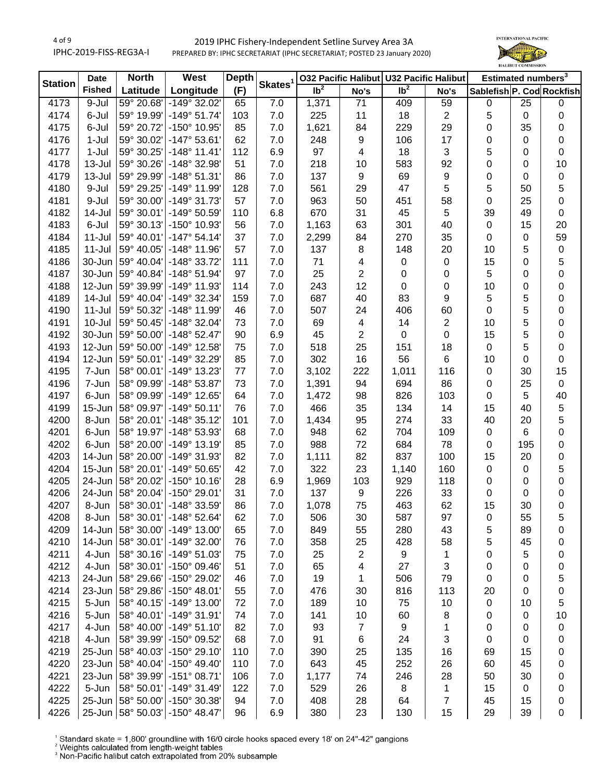

| <b>Station</b> | <b>Date</b>   | <b>North</b> | West                            | <b>Depth</b> | Skates <sup>1</sup> |                 |                  | 032 Pacific Halibut U32 Pacific Halibut |              | Estimated numbers <sup>3</sup> |             |    |
|----------------|---------------|--------------|---------------------------------|--------------|---------------------|-----------------|------------------|-----------------------------------------|--------------|--------------------------------|-------------|----|
|                | <b>Fished</b> | Latitude     | Longitude                       | (F)          |                     | Ib <sup>2</sup> | No's             | Ib <sup>2</sup>                         | No's         | Sablefish P. Cod Rockfish      |             |    |
| 4173           | 9-Jul         | 59° 20.68'   | -149° 32.02'                    | 65           | 7.0                 | 1,371           | $\overline{71}$  | 409                                     | 59           | $\pmb{0}$                      | 25          | 0  |
| 4174           | 6-Jul         | 59° 19.99'   | $-149°51.74'$                   | 103          | 7.0                 | 225             | 11               | 18                                      | 2            | 5                              | $\pmb{0}$   | 0  |
| 4175           | 6-Jul         | 59° 20.72'   | -150° 10.95'                    | 85           | 7.0                 | 1,621           | 84               | 229                                     | 29           | 0                              | 35          | 0  |
| 4176           | $1-Jul$       | 59° 30.02'   | $-147°53.61'$                   | 62           | 7.0                 | 248             | $\boldsymbol{9}$ | 106                                     | 17           | 0                              | 0           | 0  |
| 4177           | $1-Jul$       | 59° 30.25'   | $-148°$ 11.41                   | 112          | 6.9                 | 97              | 4                | 18                                      | 3            | 5                              | 0           | 0  |
| 4178           | 13-Jul        | 59° 30.26'   | -148° 32.98'                    | 51           | 7.0                 | 218             | 10               | 583                                     | 92           | $\mathbf 0$                    | 0           | 10 |
| 4179           | 13-Jul        | 59° 29.99'   | $-148°51.31'$                   | 86           | 7.0                 | 137             | $\boldsymbol{9}$ | 69                                      | 9            | 0                              | 0           | 0  |
| 4180           | 9-Jul         | 59° 29.25'   | $-149°$ 11.99                   | 128          | 7.0                 | 561             | 29               | 47                                      | 5            | 5                              | 50          | 5  |
| 4181           | 9-Jul         | 59° 30.00'   | $-149°31.73'$                   | 57           | 7.0                 | 963             | 50               | 451                                     | 58           | 0                              | 25          | 0  |
| 4182           | 14-Jul        | 59° 30.01'   | -149° 50.59'                    | 110          | 6.8                 | 670             | 31               | 45                                      | 5            | 39                             | 49          | 0  |
| 4183           | 6-Jul         | 59° 30.13'   | -150° 10.93'                    | 56           | 7.0                 | 1,163           | 63               | 301                                     | 40           | $\pmb{0}$                      | 15          | 20 |
| 4184           | 11-Jul        | 59° 40.01'   | $-147°54.14'$                   | 37           | 7.0                 | 2,299           | 84               | 270                                     | 35           | $\pmb{0}$                      | 0           | 59 |
| 4185           | $11$ -Jul     | 59° 40.05'   | $-148°$ 11.96'                  | 57           | 7.0                 | 137             | 8                | 148                                     | 20           | 10                             | 5           | 0  |
| 4186           | 30-Jun        | 59° 40.04'   | -148° 33.72'                    | 111          | 7.0                 | 71              | 4                | $\pmb{0}$                               | 0            | 15                             | 0           | 5  |
| 4187           | 30-Jun        | 59° 40.84'   | -148° 51.94'                    | 97           | 7.0                 | 25              | 2                | $\pmb{0}$                               | 0            | 5                              | 0           | 0  |
| 4188           | 12-Jun        | 59° 39.99'   | -149° 11.93'                    | 114          | 7.0                 | 243             | 12               | $\pmb{0}$                               | 0            | 10                             | 0           | 0  |
| 4189           | 14-Jul        | 59° 40.04'   | $-149°32.34'$                   | 159          | 7.0                 | 687             | 40               | 83                                      | 9            | 5                              | 5           | 0  |
| 4190           | $11 -$ Jul    | 59° 50.32'   | -148° 11.99'                    | 46           | 7.0                 | 507             | 24               | 406                                     | 60           | $\pmb{0}$                      | 5           | 0  |
| 4191           | $10 -$ Jul    | 59° 50.45'   | $-148°32.04'$                   | 73           | 7.0                 | 69              | 4                | 14                                      | 2            | 10                             | 5           | 0  |
| 4192           | 30-Jun        | 59° 50.00'   | $-148°52.47'$                   | 90           | 6.9                 | 45              | $\overline{2}$   | 0                                       | 0            | 15                             | 5           | 0  |
| 4193           | 12-Jun        | 59° 50.00'   | $-149°$ 12.58                   | 75           | 7.0                 | 518             | 25               | 151                                     | 18           | $\pmb{0}$                      | 5           | 0  |
| 4194           | 12-Jun        | 59° 50.01'   | -149° 32.29'                    | 85           | 7.0                 | 302             | 16               | 56                                      | 6            | 10                             | 0           | 0  |
| 4195           | 7-Jun         | 58° 00.01'   | $-149°$ 13.23                   | 77           | 7.0                 | 3,102           | 222              | 1,011                                   | 116          | $\pmb{0}$                      | 30          | 15 |
| 4196           | 7-Jun         | 58° 09.99'   | $-148°53.87'$                   | 73           | 7.0                 | 1,391           | 94               | 694                                     | 86           | 0                              | 25          | 0  |
| 4197           | 6-Jun         | 58° 09.99'   | -149° 12.65'                    | 64           | 7.0                 | 1,472           | 98               | 826                                     | 103          | 0                              | 5           | 40 |
| 4199           | $15 - Jun$    | 58° 09.97'   | $-149°50.11'$                   | 76           | 7.0                 | 466             | 35               | 134                                     | 14           | 15                             | 40          | 5  |
| 4200           | 8-Jun         | 58° 20.01'   | $-148°35.12'$                   | 101          | 7.0                 | 1,434           | 95               | 274                                     | 33           | 40                             | 20          | 5  |
| 4201           | 6-Jun         | 58° 19.97'   | -148° 53.93'                    | 68           | 7.0                 | 948             | 62               | 704                                     | 109          | $\pmb{0}$                      | 6           | 0  |
| 4202           | 6-Jun         | 58° 20.00'   | $-149°$ 13.19                   | 85           | 7.0                 | 988             | 72               | 684                                     | 78           | 0                              | 195         | 0  |
| 4203           | 14-Jun        | 58° 20.00'   | -149° 31.93'                    | 82           | 7.0                 | 1,111           | 82               | 837                                     | 100          | 15                             | 20          | 0  |
| 4204           | 15-Jun        | 58° 20.01'   | -149° 50.65'                    | 42           | 7.0                 | 322             | 23               | 1,140                                   | 160          | $\pmb{0}$                      | 0           | 5  |
| 4205           | 24-Jun        | 58° 20.02'   | $-150^{\circ}$ 10.16'           | 28           | 6.9                 | 1,969           | 103              | 929                                     | 118          | 0                              | 0           | 0  |
| 4206           | 24-Jun        | 58° 20.04'   | -150° 29.01'                    | 31           | 7.0                 | 137             | 9                | 226                                     | 33           | $\pmb{0}$                      | 0           | 0  |
| 4207           | 8-Jun         | 58° 30.01'   | -148° 33.59'                    | 86           | 7.0                 | 1,078           | 75               | 463                                     | 62           | 15                             | 30          | 0  |
| 4208           | 8-Jun         | 58° 30.01'   | -148° 52.64'                    | 62           | 7.0                 | 506             | 30               | 587                                     | 97           | 0                              | 55          | 5  |
| 4209           | 14-Jun        | 58° 30.00'   | $-149°$ 13.00                   | 65           | 7.0                 | 849             | 55               | 280                                     | 43           | 5                              | 89          | 0  |
| 4210           | 14-Jun        | 58° 30.01'   | $-149°32.00'$                   | 76           | 7.0                 | 358             | 25               | 428                                     | 58           | 5                              | 45          | 0  |
| 4211           | 4-Jun         | 58° 30.16'   | $-149°51.03'$                   | 75           | 7.0                 | 25              | 2                | 9                                       | 1            | 0                              | 5           | 0  |
| 4212           | 4-Jun         | 58° 30.01'   | $-150^{\circ}$ 09.46            | 51           | 7.0                 | 65              | 4                | 27                                      | 3            | 0                              | 0           | 0  |
| 4213           | 24-Jun        | 58° 29.66'   | -150° 29.02'                    | 46           | 7.0                 | 19              | 1                | 506                                     | 79           | 0                              | 0           | 5  |
| 4214           | 23-Jun        | 58° 29.86'   | $-150^{\circ}$ 48.01'           | 55           | 7.0                 | 476             | 30               | 816                                     | 113          | 20                             | 0           | 0  |
| 4215           | 5-Jun         | 58° 40.15'   | $-149°$ 13.00                   | 72           | 7.0                 | 189             | 10               | 75                                      | 10           | 0                              | 10          | 5  |
| 4216           | 5-Jun         | 58° 40.01'   | -149° 31.91'                    | 74           | 7.0                 | 141             | 10               | 60                                      | 8            | 0                              | 0           | 10 |
| 4217           | 4-Jun         | 58° 40.00'   | $-149°51.10'$                   | 82           | 7.0                 | 93              | 7                | 9                                       | 1            | 0                              | 0           | 0  |
| 4218           | 4-Jun         | 58° 39.99'   | -150° 09.52'                    | 68           | 7.0                 | 91              | 6                | 24                                      | 3            | 0                              | 0           | 0  |
| 4219           | 25-Jun        | 58° 40.03'   | $-150^{\circ}$ 29.10            | 110          | 7.0                 | 390             | 25               | 135                                     | 16           | 69                             | 15          | 0  |
| 4220           | 23-Jun        | 58° 40.04'   | $-150^{\circ}$ 49.40            | 110          | 7.0                 | 643             | 45               | 252                                     | 26           | 60                             | 45          | 0  |
| 4221           | 23-Jun        | 58° 39.99'   | $-151°08.71'$                   | 106          | 7.0                 | 1,177           | 74               | 246                                     | 28           | 50                             | 30          | 0  |
| 4222           | 5-Jun         | 58° 50.01'   | $-149°31.49'$                   | 122          | 7.0                 | 529             | 26               | 8                                       | $\mathbf{1}$ | 15                             | $\mathbf 0$ | 0  |
| 4225           | 25-Jun        | 58° 50.00'   | -150° 30.38'                    | 94           | 7.0                 | 408             | 28               | 64                                      | 7            | 45                             | 15          | 0  |
| 4226           |               |              | 25-Jun 58° 50.03' - 150° 48.47' | 96           | 6.9                 | 380             | 23               | 130                                     | 15           | 29                             | 39          | 0  |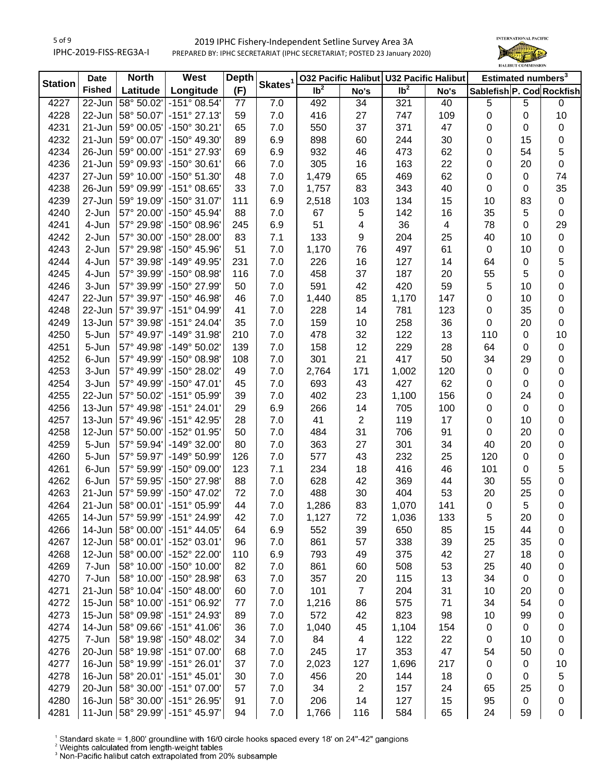

| <b>Station</b> | <b>Date</b>   | <b>North</b><br>West     |                                    | <b>Depth</b> |                     |                 |                         | 032 Pacific Halibut U32 Pacific Halibut |                          | Estimated numbers <sup>3</sup> |             |           |
|----------------|---------------|--------------------------|------------------------------------|--------------|---------------------|-----------------|-------------------------|-----------------------------------------|--------------------------|--------------------------------|-------------|-----------|
|                | <b>Fished</b> | Latitude                 | Longitude                          | (F)          | Skates <sup>1</sup> | Ib <sup>2</sup> | No's                    | Ib <sup>2</sup>                         | No's                     | Sablefish P. Cod Rockfish      |             |           |
| 4227           | 22-Jun        | 58° 50.02'               | $-151^{\circ}$ 08.54'              | 77           | 7.0                 | 492             | 34                      | 321                                     | 40                       | 5                              | $\,$ 5 $\,$ | 0         |
| 4228           | 22-Jun        | 58° 50.07'               | $-151^{\circ}$ 27.13'              | 59           | 7.0                 | 416             | 27                      | 747                                     | 109                      | 0                              | 0           | 10        |
| 4231           | 21-Jun        | 59° 00.05'               | -150° 30.21'                       | 65           | 7.0                 | 550             | 37                      | 371                                     | 47                       | 0                              | 0           | 0         |
| 4232           | 21-Jun        | 59° 00.07'               | -150° 49.30'                       | 89           | 6.9                 | 898             | 60                      | 244                                     | 30                       | 0                              | 15          | 0         |
| 4234           | 26-Jun        | 59° 00.00'               | -151° 27.93'                       | 69           | 6.9                 | 932             | 46                      | 473                                     | 62                       | 0                              | 54          | 5         |
| 4236           | 21-Jun        | 59° 09.93'               | -150° 30.61'                       | 66           | 7.0                 | 305             | 16                      | 163                                     | 22                       | 0                              | 20          | 0         |
| 4237           | 27-Jun        | 59° 10.00'               | -150° 51.30'                       | 48           | 7.0                 | 1,479           | 65                      | 469                                     | 62                       | 0                              | 0           | 74        |
| 4238           | 26-Jun        | 59° 09.99'               | $-151^{\circ}$ 08.65'              | 33           | 7.0                 | 1,757           | 83                      | 343                                     | 40                       | 0                              | 0           | 35        |
| 4239           | 27-Jun        | 59° 19.09'               | $-150^{\circ}$ 31.07               | 111          | 6.9                 | 2,518           | 103                     | 134                                     | 15                       | 10                             | 83          | $\pmb{0}$ |
| 4240           | 2-Jun         | 57° 20.00'               | -150° 45.94'                       | 88           | 7.0                 | 67              | 5                       | 142                                     | 16                       | 35                             | 5           | $\pmb{0}$ |
| 4241           | 4-Jun         | 57° 29.98'               | -150° 08.96'                       | 245          | 6.9                 | 51              | 4                       | 36                                      | $\overline{\mathcal{A}}$ | 78                             | 0           | 29        |
| 4242           | 2-Jun         | 57° 30.00'               | -150° 28.00'                       | 83           | 7.1                 | 133             | 9                       | 204                                     | 25                       | 40                             | 10          | $\pmb{0}$ |
| 4243           | 2-Jun         | 57° 29.98'               | -150° 45.96'                       | 51           | 7.0                 | 1,170           | 76                      | 497                                     | 61                       | $\pmb{0}$                      | 10          | 0         |
| 4244           | 4-Jun         | 57° 39.98'               | -149° 49.95'                       | 231          | 7.0                 | 226             | 16                      | 127                                     | 14                       | 64                             | $\mathbf 0$ | 5         |
| 4245           | 4-Jun         | 57° 39.99'               | -150° 08.98'                       | 116          | 7.0                 | 458             | 37                      | 187                                     | 20                       | 55                             | 5           | 0         |
| 4246           | 3-Jun         | 57° 39.99'               | -150° 27.99'                       | 50           | 7.0                 | 591             | 42                      | 420                                     | 59                       | 5                              | 10          | 0         |
| 4247           | 22-Jun        | 57° 39.97'               | -150° 46.98'                       | 46           | 7.0                 | 1,440           | 85                      | 1,170                                   | 147                      | 0                              | 10          | 0         |
| 4248           | 22-Jun        | 57° 39.97'               | -151° 04.99'                       | 41           | 7.0                 | 228             | 14                      | 781                                     | 123                      | 0                              | 35          | 0         |
| 4249           | 13-Jun        | 57° 39.98'               | -151° 24.04'                       | 35           | 7.0                 | 159             | 10                      | 258                                     | 36                       | 0                              | 20          | 0         |
| 4250           | 5-Jun         | 57° 49.97'               | $-149°31.98'$                      | 210          | 7.0                 | 478             | 32                      | 122                                     | 13                       | 110                            | 0           | 10        |
| 4251           | 5-Jun         | 57° 49.98'               | -149° 50.02'                       | 139          | 7.0                 | 158             | 12                      | 229                                     | 28                       | 64                             | 0           | $\pmb{0}$ |
| 4252           | 6-Jun         | 57° 49.99'               | -150° 08.98'                       | 108          | 7.0                 | 301             | 21                      | 417                                     | 50                       | 34                             | 29          | 0         |
| 4253           | 3-Jun         | 57° 49.99'               | -150° 28.02'                       | 49           | 7.0                 | 2,764           | 171                     | 1,002                                   | 120                      | $\pmb{0}$                      | 0           | 0         |
| 4254           | 3-Jun         | 57° 49.99'               | $-150^{\circ}$ 47.01'              | 45           | 7.0                 | 693             | 43                      | 427                                     | 62                       | 0                              | 0           | 0         |
| 4255           | 22-Jun        | 57° 50.02'               | -151° 05.99'                       | 39           | 7.0                 | 402             | 23                      | 1,100                                   | 156                      | 0                              | 24          | 0         |
| 4256           | $13 - Jun$    | 57° 49.98'               | $-151°$ 24.01'                     | 29           | 6.9                 | 266             | 14                      | 705                                     | 100                      | 0                              | $\mathbf 0$ | 0         |
| 4257           | $13$ -Jun     | 57° 49.96'               | -151° 42.95'                       | 28           | 7.0                 | 41              | $\overline{2}$          | 119                                     | 17                       | 0                              | 10          | 0         |
| 4258           | $12$ -Jun     | 57° 50.00'               | -152° 01.95'                       | 50           | 7.0                 | 484             | 31                      | 706                                     | 91                       | $\pmb{0}$                      | 20          | 0         |
| 4259           | 5-Jun         | 57° 59.94'               | -149° 32.00'                       | 80           | 7.0                 | 363             | 27                      | 301                                     | 34                       | 40                             | 20          | $\pmb{0}$ |
| 4260           | 5-Jun         | 57° 59.97'               | -149° 50.99'                       | 126          | 7.0                 | 577             | 43                      | 232                                     | 25                       | 120                            | $\mathbf 0$ | 0         |
| 4261           | 6-Jun         | 57° 59.99'               | -150° 09.00'                       | 123          | 7.1                 | 234             | 18                      | 416                                     | 46                       | 101                            | 0           | 5         |
| 4262           | 6-Jun         | 57° 59.95'               | -150° 27.98'                       | 88           | 7.0                 | 628             | 42                      | 369                                     | 44                       | 30                             | 55          | 0         |
| 4263           | 21-Jun        | 57° 59.99'               | -150° 47.02'                       | 72           | 7.0                 | 488             | 30                      | 404                                     | 53                       | 20                             | 25          | $\pmb{0}$ |
| 4264           | 21-Jun        | 58° 00.01'               | $-151^{\circ}$ 05.99               | 44           | 7.0                 | 1,286           | 83                      | 1,070                                   | 141                      | $\pmb{0}$                      | 5           | 0         |
|                |               |                          |                                    |              |                     |                 |                         |                                         |                          |                                |             |           |
| 4265           |               | 14-Jun 58° 00.00'        | 14-Jun   57° 59.99'   -151° 24.99' | 42           | 7.0                 | 1,127           | 72                      | 1,036                                   | 133                      | 5                              | 20          | 0         |
| 4266           |               |                          | -151° 44.05'                       | 64           | 6.9                 | 552             | 39                      | 650                                     | 85                       | 15                             | 44          | 0         |
| 4267           | 12-Jun        | 58° 00.01'<br>58° 00.00' | -152° 03.01'                       | 96           | 7.0                 | 861             | 57                      | 338                                     | 39                       | 25                             | 35          | 0         |
| 4268           | 12-Jun        |                          | -152° 22.00'                       | 110          | 6.9                 | 793             | 49                      | 375                                     | 42                       | 27                             | 18          | 0         |
| 4269           | 7-Jun         | 58° 10.00'               | $-150^{\circ}$ 10.00'              | 82           | 7.0                 | 861             | 60                      | 508                                     | 53                       | 25                             | 40          | 0         |
| 4270           | 7-Jun         | 58° 10.00'               | -150° 28.98'                       | 63           | 7.0                 | 357             | 20                      | 115                                     | 13                       | 34                             | 0           | 0         |
| 4271           | 21-Jun        | 58° 10.04'               | $-150^{\circ}$ 48.00'              | 60           | 7.0                 | 101             | $\overline{7}$          | 204                                     | 31                       | 10                             | 20          | 0         |
| 4272           | $15$ -Jun     | 58° 10.00'               | -151° 06.92'                       | 77           | 7.0                 | 1,216           | 86                      | 575                                     | 71                       | 34                             | 54          | 0         |
| 4273           | $15$ -Jun     | 58° 09.98'               | -151° 24.93'                       | 89           | 7.0                 | 572             | 42                      | 823                                     | 98                       | 10                             | 99          | 0         |
| 4274           | 14-Jun        | 58° 09.66'               | $-151^{\circ}$ 41.06'              | 36           | 7.0                 | 1,040           | 45                      | 1,104                                   | 154                      | $\pmb{0}$                      | 0           | 0         |
| 4275           | 7-Jun         | 58° 19.98'               | -150° 48.02'                       | 34           | 7.0                 | 84              | $\overline{\mathbf{4}}$ | 122                                     | 22                       | $\pmb{0}$                      | 10          | 0         |
| 4276           | $20$ -Jun     | 58° 19.98'               | -151° 07.00'                       | 68           | 7.0                 | 245             | 17                      | 353                                     | 47                       | 54                             | 50          | 0         |
| 4277           | $16$ -Jun     | 58° 19.99'               | $-151°26.01'$                      | 37           | 7.0                 | 2,023           | 127                     | 1,696                                   | 217                      | $\pmb{0}$                      | 0           | 10        |
| 4278           | $16$ -Jun     | 58° 20.01'               | $-151^{\circ}$ 45.01'              | 30           | 7.0                 | 456             | 20                      | 144                                     | 18                       | 0                              | 0           | 5         |
| 4279           |               | 20-Jun 58° 30.00'        | $-151^{\circ}$ 07.00               | 57           | 7.0                 | 34              | $\overline{c}$          | 157                                     | 24                       | 65                             | 25          | 0         |
| 4280           |               | 16-Jun 58° 30.00'        | -151° 26.95'                       | 91           | 7.0                 | 206             | 14                      | 127                                     | 15                       | 95                             | 0           | 0         |
| 4281           |               |                          | 11-Jun 58° 29.99' - 151° 45.97'    | 94           | 7.0                 | 1,766           | 116                     | 584                                     | 65                       | 24                             | 59          | 0         |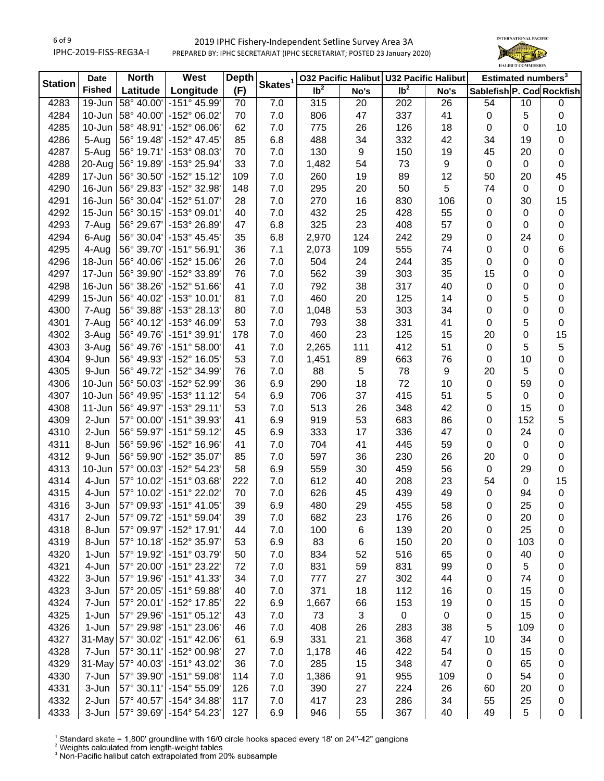

| <b>Station</b> | <b>Date</b>   | <b>North</b>             | West                          | <b>Depth</b> | Skates <sup>1</sup> |                 |                  | 032 Pacific Halibut U32 Pacific Halibut |          | Estimated numbers <sup>3</sup> |             |             |
|----------------|---------------|--------------------------|-------------------------------|--------------|---------------------|-----------------|------------------|-----------------------------------------|----------|--------------------------------|-------------|-------------|
|                | <b>Fished</b> | Latitude                 | Longitude                     | (F)          |                     | Ib <sup>2</sup> | No's             | Ib <sup>2</sup>                         | No's     | Sablefish P. Cod Rockfish      |             |             |
| 4283           | 19-Jun        | 58° 40.00'               | -151° 45.99'                  | 70           | 7.0                 | 315             | 20               | 202                                     | 26       | 54                             | 10          | $\mathbf 0$ |
| 4284           | 10-Jun        | 58° 40.00'               | -152° 06.02'                  | 70           | 7.0                 | 806             | 47               | 337                                     | 41       | $\pmb{0}$                      | 5           | $\pmb{0}$   |
| 4285           | 10-Jun        | 58° 48.91'               | -152° 06.06'                  | 62           | 7.0                 | 775             | 26               | 126                                     | 18       | $\pmb{0}$                      | 0           | 10          |
| 4286           | 5-Aug         | 56° 19.48'               | -152° 47.45'                  | 85           | 6.8                 | 488             | 34               | 332                                     | 42       | 34                             | 19          | 0           |
| 4287           | 5-Aug         | 56° 19.71'               | -153° 08.03'                  | 70           | 7.0                 | 130             | $\boldsymbol{9}$ | 150                                     | 19       | 45                             | 20          | 0           |
| 4288           | 20-Aug        | 56° 19.89'               | -153° 25.94'                  | 33           | 7.0                 | 1,482           | 54               | 73                                      | 9        | $\pmb{0}$                      | 0           | $\pmb{0}$   |
| 4289           | 17-Jun        | 56° 30.50'               | $-152^{\circ}$ 15.12          | 109          | 7.0                 | 260             | 19               | 89                                      | 12       | 50                             | 20          | 45          |
| 4290           | 16-Jun        | 56° 29.83'               | -152° 32.98'                  | 148          | 7.0                 | 295             | 20               | 50                                      | 5        | 74                             | $\mathbf 0$ | $\pmb{0}$   |
| 4291           | 16-Jun        | 56° 30.04'               | -152° 51.07'                  | 28           | 7.0                 | 270             | 16               | 830                                     | 106      | 0                              | 30          | 15          |
| 4292           | 15-Jun        | 56° 30.15'               | -153° 09.01'                  | 40           | 7.0                 | 432             | 25               | 428                                     | 55       | 0                              | 0           | 0           |
| 4293           | 7-Aug         | 56° 29.67'               | -153° 26.89'                  | 47           | 6.8                 | 325             | 23               | 408                                     | 57       | 0                              | 0           | 0           |
| 4294           | 6-Aug         | 56° 30.04'               | $-153^{\circ}$ 45.45'         | 35           | 6.8                 | 2,970           | 124              | 242                                     | 29       | 0                              | 24          | 0           |
| 4295           | 4-Aug         | 56° 39.70'               | $-151^{\circ}56.91'$          | 36           | 7.1                 | 2,073           | 109              | 555                                     | 74       | 0                              | 0           | 6           |
| 4296           | 18-Jun        | 56° 40.06'               | -152° 15.06'                  | 26           | 7.0                 | 504             | 24               | 244                                     | 35       | 0                              | 0           | 0           |
| 4297           | 17-Jun        | 56° 39.90'               | -152° 33.89'                  | 76           | 7.0                 | 562             | 39               | 303                                     | 35       | 15                             | 0           | 0           |
| 4298           | 16-Jun        | 56° 38.26'               | -152° 51.66'                  | 41           | 7.0                 | 792             | 38               | 317                                     | 40       | 0                              | 0           | 0           |
| 4299           | $15 - Jun$    | 56° 40.02'               | -153° 10.01'                  | 81           | 7.0                 | 460             | 20               | 125                                     | 14       | 0                              | 5           | 0           |
| 4300           | 7-Aug         | 56° 39.88'               | -153° 28.13'                  | 80           | 7.0                 | 1,048           | 53               | 303                                     | 34       | 0                              | 0           | $\pmb{0}$   |
| 4301           | 7-Aug         | 56° 40.12'               | -153° 46.09'                  | 53           | 7.0                 | 793             | 38               | 331                                     | 41       | 0                              | 5           | 0           |
| 4302           | 3-Aug         | 56° 49.76'               | -151° 39.91'                  | 178          | 7.0                 | 460             | 23               | 125                                     | 15       | 20                             | 0           | 15          |
| 4303           | 3-Aug         | 56° 49.76'               | $-151°58.00'$                 | 41           | 7.0                 | 2,265           | 111              | 412                                     | 51       | $\pmb{0}$                      | 5           | 5           |
| 4304           | 9-Jun         | 56° 49.93'               | -152° 16.05'                  | 53           | 7.0                 | 1,451           | 89               | 663                                     | 76       |                                | 10          | 0           |
| 4305           | 9-Jun         | 56° 49.72'               | -152° 34.99'                  | 76           | 7.0                 | 88              |                  | 78                                      | 9        | 0<br>20                        |             |             |
|                | 10-Jun        |                          |                               |              |                     |                 | 5                | 72                                      |          |                                | 5<br>59     | 0           |
| 4306<br>4307   | 10-Jun        | 56° 50.03'<br>56° 49.95' | -152° 52.99'<br>$-153°$ 11.12 | 36<br>54     | 6.9<br>6.9          | 290<br>706      | 18<br>37         | 415                                     | 10<br>51 | 0                              | $\mathbf 0$ | 0           |
|                | $11 - Jun$    | 56° 49.97'               | -153° 29.11'                  | 53           | 7.0                 |                 |                  |                                         | 42       | 5                              | 15          | 0           |
| 4308<br>4309   | 2-Jun         | 57° 00.00'               | -151° 39.93'                  | 41           | 6.9                 | 513<br>919      | 26<br>53         | 348<br>683                              | 86       | 0                              | 152         | 0           |
|                |               |                          |                               |              |                     |                 |                  |                                         |          | 0                              | 24          | 5           |
| 4310           | 2-Jun         | 56° 59.97'               | $-151°59.12'$                 | 45           | 6.9                 | 333             | 17               | 336                                     | 47       | 0                              |             | 0           |
| 4311           | 8-Jun         | 56° 59.96'               | -152° 16.96'                  | 41           | 7.0                 | 704             | 41               | 445                                     | 59       | $\pmb{0}$                      | $\mathbf 0$ | 0           |
| 4312           | 9-Jun         | 56° 59.90'               | -152° 35.07'                  | 85           | 7.0                 | 597             | 36               | 230                                     | 26       | 20                             | 0           | 0           |
| 4313           | 10-Jun        | 57° 00.03'               | -152° 54.23'                  | 58           | 6.9                 | 559             | 30               | 459                                     | 56       | $\pmb{0}$                      | 29          | $\pmb{0}$   |
| 4314           | 4-Jun         | 57° 10.02'               | -151° 03.68'                  | 222          | 7.0                 | 612             | 40               | 208                                     | 23       | 54                             | $\mathbf 0$ | 15          |
| 4315           | 4-Jun         | 57° 10.02'               | -151° 22.02'                  | 70           | 7.0                 | 626             | 45               | 439                                     | 49       | $\pmb{0}$                      | 94          | $\pmb{0}$   |
| 4316           | 3-Jun         | 57° 09.93'               | $-151^{\circ}$ 41.05          | 39           | 6.9                 | 480             | 29               | 455                                     | 58       | 0                              | 25          | 0           |
| 4317           | 2-Jun         |                          | 57° 09.72' - 151° 59.04'      | 39           | 7.0                 | 682             | 23               | 176                                     | 26       | 0                              | 20          | 0           |
| 4318           | 8-Jun         | 57° 09.97'               | -152° 17.91'                  | 44           | 7.0                 | 100             | 6                | 139                                     | 20       | 0                              | 25          | 0           |
| 4319           | 8-Jun         | 57° 10.18'               | -152° 35.97'                  | 53           | 6.9                 | 83              | 6                | 150                                     | 20       | 0                              | 103         | 0           |
| 4320           | 1-Jun         | 57° 19.92'               | -151° 03.79'                  | 50           | 7.0                 | 834             | 52               | 516                                     | 65       | 0                              | 40          | 0           |
| 4321           | 4-Jun         | 57° 20.00'               | -151° 23.22'                  | 72           | 7.0                 | 831             | 59               | 831                                     | 99       | 0                              | 5           | 0           |
| 4322           | 3-Jun         | 57° 19.96'               | $-151°$ 41.33'                | 34           | 7.0                 | 777             | 27               | 302                                     | 44       | 0                              | 74          | 0           |
| 4323           | 3-Jun         | 57° 20.05'               | -151° 59.88'                  | 40           | 7.0                 | 371             | 18               | 112                                     | 16       | 0                              | 15          | 0           |
| 4324           | 7-Jun         | 57° 20.01'               | -152° 17.85'                  | 22           | 6.9                 | 1,667           | 66               | 153                                     | 19       | 0                              | 15          | 0           |
| 4325           | 1-Jun         | 57° 29.96'               | $-151^{\circ}$ 05.12          | 43           | 7.0                 | 73              | $\sqrt{3}$       | $\mathbf 0$                             | 0        | 0                              | 15          | 0           |
| 4326           | 1-Jun         | 57° 29.98'               | -151° 23.06'                  | 46           | 7.0                 | 408             | 26               | 283                                     | 38       | 5                              | 109         | 0           |
| 4327           |               | 31-May 57° 30.02'        | $-151^{\circ}$ 42.06'         | 61           | 6.9                 | 331             | 21               | 368                                     | 47       | 10                             | 34          | 0           |
| 4328           | 7-Jun         | 57° 30.11'               | -152° 00.98'                  | 27           | 7.0                 | 1,178           | 46               | 422                                     | 54       | $\pmb{0}$                      | 15          | 0           |
| 4329           |               | 31-May 57° 40.03'        | -151° 43.02'                  | 36           | 7.0                 | 285             | 15               | 348                                     | 47       | 0                              | 65          | 0           |
| 4330           | 7-Jun         | 57° 39.90'               | $-151°59.08'$                 | 114          | 7.0                 | 1,386           | 91               | 955                                     | 109      | 0                              | 54          | 0           |
| 4331           | 3-Jun         | 57° 30.11'               | -154° 55.09'                  | 126          | 7.0                 | 390             | 27               | 224                                     | 26       | 60                             | 20          | 0           |
| 4332           | 2-Jun         | 57° 40.57'               | $-154^{\circ}$ 34.88          | 117          | 7.0                 | 417             | 23               | 286                                     | 34       | 55                             | 25          | 0           |
| 4333           | 3-Jun         |                          | 57° 39.69' - 154° 54.23'      | 127          | 6.9                 | 946             | 55               | 367                                     | 40       | 49                             | $\sqrt{5}$  | 0           |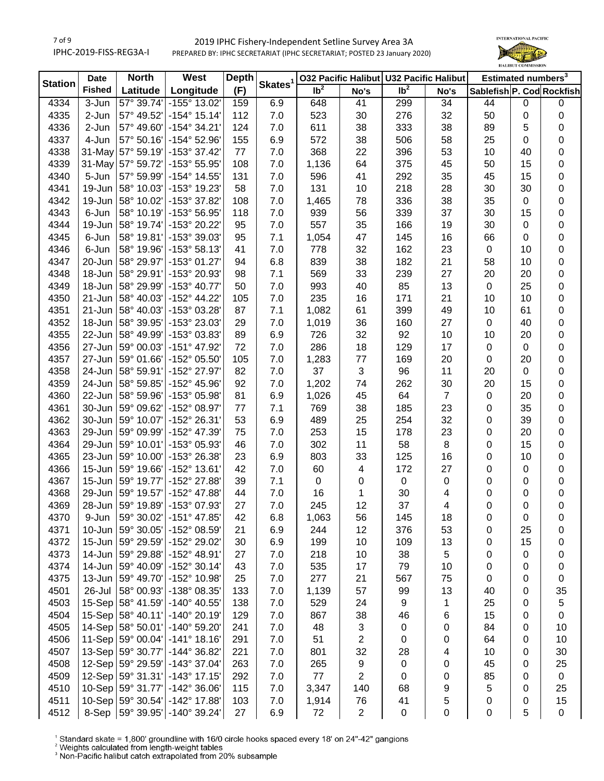# 7 of 9 IPHC-2019-FISS-REG3A-I

# 2019 IPHC Fishery-Independent Setline Survey Area 3A PREPARED BY: IPHC SECRETARIAT (IPHC SECRETARIAT; POSTED 23 January 2020)



| <b>Station</b> | <b>Date</b>   | <b>North</b>       | West                  | <b>Depth</b> | Skates <sup>1</sup> |                            | <b>032 Pacific Halibut</b> |                            | <b>U32 Pacific Halibut</b> |                           | Estimated numbers <sup>3</sup> |             |
|----------------|---------------|--------------------|-----------------------|--------------|---------------------|----------------------------|----------------------------|----------------------------|----------------------------|---------------------------|--------------------------------|-------------|
|                | <b>Fished</b> | Latitude           | Longitude             | (F)          |                     | $\overline{\mathsf{lb}^2}$ | No's                       | $\overline{\mathsf{lb}^2}$ | No's                       | Sablefish P. Cod Rockfish |                                |             |
| 4334           | 3-Jun         | 57° 39.74'         | -155° 13.02'          | 159          | 6.9                 | 648                        | 41                         | 299                        | 34                         | 44                        | $\mathbf 0$                    | $\pmb{0}$   |
| 4335           | 2-Jun         | 57° 49.52'         | $-154^{\circ}$ 15.14' | 112          | 7.0                 | 523                        | 30                         | 276                        | 32                         | 50                        | 0                              | $\pmb{0}$   |
| 4336           | 2-Jun         | 57° 49.60'         | $-154^{\circ}$ 34.21' | 124          | 7.0                 | 611                        | 38                         | 333                        | 38                         | 89                        | 5                              | 0           |
| 4337           | 4-Jun         | 57° 50.16'         | -154° 52.96'          | 155          | 6.9                 | 572                        | 38                         | 506                        | 58                         | 25                        | $\mathbf 0$                    | 0           |
| 4338           |               | 31-May 57° 59.19'  | -153° 37.42'          | 77           | 7.0                 | 368                        | 22                         | 396                        | 53                         | 10                        | 40                             | 0           |
| 4339           |               | 31-May 57° 59.72'  | -153° 55.95'          | 108          | 7.0                 | 1,136                      | 64                         | 375                        | 45                         | 50                        | 15                             | 0           |
| 4340           | 5-Jun         | 57° 59.99'         | -154° 14.55'          | 131          | 7.0                 | 596                        | 41                         | 292                        | 35                         | 45                        | 15                             | 0           |
| 4341           | 19-Jun        | 58° 10.03'         | -153° 19.23'          | 58           | 7.0                 | 131                        | 10                         | 218                        | 28                         | 30                        | 30                             | 0           |
| 4342           | 19-Jun        | 58° 10.02'         | -153° 37.82'          | 108          | 7.0                 | 1,465                      | 78                         | 336                        | 38                         | 35                        | $\mathbf 0$                    | 0           |
| 4343           | 6-Jun         | 58° 10.19'         | -153° 56.95'          | 118          | 7.0                 | 939                        | 56                         | 339                        | 37                         | 30                        | 15                             | 0           |
| 4344           | 19-Jun        | 58° 19.74'         | -153° 20.22'          | 95           | 7.0                 | 557                        | 35                         | 166                        | 19                         | 30                        | 0                              | 0           |
| 4345           | 6-Jun         | 58° 19.81'         | -153° 39.03'          | 95           | 7.1                 | 1,054                      | 47                         | 145                        | 16                         | 66                        | 0                              | 0           |
| 4346           | 6-Jun         | 58° 19.96'         | -153° 58.13'          | 41           | 7.0                 | 778                        | 32                         | 162                        | 23                         | $\pmb{0}$                 | 10                             | 0           |
| 4347           | 20-Jun        | 58° 29.97'         | -153° 01.27'          | 94           | 6.8                 | 839                        | 38                         | 182                        | 21                         | 58                        | 10                             | 0           |
| 4348           | 18-Jun        | 58° 29.91'         | -153° 20.93'          | 98           | 7.1                 | 569                        | 33                         | 239                        | 27                         | 20                        | 20                             | 0           |
| 4349           | 18-Jun        | 58° 29.99'         | -153° 40.77'          | 50           | 7.0                 | 993                        | 40                         | 85                         | 13                         | $\pmb{0}$                 | 25                             | 0           |
| 4350           | $21 - Jun$    | 58° 40.03'         | -152° 44.22'          | 105          | 7.0                 | 235                        | 16                         | 171                        | 21                         | 10                        | 10                             | 0           |
| 4351           | $21 - Jun$    | 58° 40.03'         | -153° 03.28'          | 87           | 7.1                 | 1,082                      | 61                         | 399                        | 49                         | 10                        | 61                             | 0           |
| 4352           | 18-Jun        | 58° 39.95'         | -153° 23.03'          | 29           | 7.0                 | 1,019                      | 36                         | 160                        | 27                         | $\pmb{0}$                 | 40                             | 0           |
| 4355           | 22-Jun        | 58° 49.99'         | -153° 03.83'          | 89           | 6.9                 | 726                        | 32                         | 92                         | 10                         | 10                        | 20                             | 0           |
| 4356           | 27-Jun        | 59° 00.03'         | -151° 47.92'          | 72           | 7.0                 | 286                        | 18                         | 129                        | 17                         | $\pmb{0}$                 | 0                              | 0           |
| 4357           |               | 27-Jun 59° 01.66'  | -152° 05.50'          | 105          | 7.0                 | 1,283                      | 77                         | 169                        | 20                         | $\pmb{0}$                 | 20                             | 0           |
| 4358           |               | 24-Jun 58° 59.91'  | -152° 27.97'          | 82           | 7.0                 | 37                         | 3                          | 96                         | 11                         | 20                        | 0                              | 0           |
| 4359           | $24$ -Jun     | 58° 59.85'         | -152° 45.96'          | 92           | 7.0                 | 1,202                      | 74                         | 262                        | 30                         | 20                        | 15                             | 0           |
| 4360           |               | 22-Jun 58° 59.96'  | -153° 05.98'          | 81           | 6.9                 | 1,026                      | 45                         | 64                         | $\overline{7}$             | $\pmb{0}$                 | 20                             | 0           |
| 4361           |               | 30-Jun 59° 09.62'  | -152° 08.97'          | 77           | 7.1                 | 769                        | 38                         | 185                        | 23                         | $\pmb{0}$                 | 35                             | 0           |
| 4362           |               | 30-Jun 59° 10.07'  | -152° 26.31'          | 53           | 6.9                 | 489                        | 25                         | 254                        | 32                         | $\pmb{0}$                 | 39                             | 0           |
| 4363           | 29-Jun        | 59° 09.99'         | -152° 47.39'          | 75           | 7.0                 | 253                        | 15                         | 178                        | 23                         | $\pmb{0}$                 | 20                             | 0           |
| 4364           | 29-Jun        | 59° 10.01'         | -153° 05.93'          | 46           | 7.0                 | 302                        | 11                         | 58                         | 8                          | $\pmb{0}$                 | 15                             | $\pmb{0}$   |
| 4365           | 23-Jun        | 59° 10.00'         | -153° 26.38'          | 23           | 6.9                 | 803                        | 33                         | 125                        | 16                         | 0                         | 10                             | 0           |
| 4366           | $15 - Jun$    | 59° 19.66'         | -152° 13.61'          | 42           | 7.0                 | 60                         | 4                          | 172                        | 27                         | 0                         | 0                              | 0           |
| 4367           |               | 15-Jun 59° 19.77'  | -152° 27.88'          | 39           | 7.1                 | 0                          | 0                          | $\,0\,$                    | 0                          | 0                         | 0                              | 0           |
| 4368           |               | 29-Jun 59° 19.57'  | -152° 47.88'          | 44           | 7.0                 | 16                         | 1                          | 30                         | 4                          | 0                         | 0                              | $\pmb{0}$   |
| 4369           |               | 28-Jun 59° 19.89'  | -153° 07.93'          | 27           | 7.0                 | 245                        | 12                         | 37                         | 4                          | 0                         | 0                              | $\pmb{0}$   |
| 4370           | 9-Jun         | 59° 30.02'         | -151° 47.85'          | 42           | 6.8                 | 1,063                      | 56                         | 145                        | 18                         | 0                         | 0                              | 0           |
| 4371           |               | 10-Jun 59° 30.05'  | -152° 08.59'          | 21           | 6.9                 | 244                        | 12                         | 376                        | 53                         | 0                         | 25                             | 0           |
| 4372           |               | 15-Jun 59° 29.59'  | -152° 29.02'          | 30           | 6.9                 | 199                        | 10                         | 109                        | 13                         | 0                         | 15                             | 0           |
| 4373           |               | 14-Jun 59° 29.88'  | -152° 48.91'          | 27           | 7.0                 | 218                        | 10                         | 38                         | 5                          | 0                         | 0                              | 0           |
| 4374           |               | 14-Jun 59° 40.09'  | $-152^{\circ}$ 30.14' | 43           | 7.0                 | 535                        | 17                         | 79                         | 10                         | 0                         | 0                              | 0           |
| 4375           |               | 13-Jun 59° 49.70'  | -152° 10.98'          | 25           | 7.0                 | 277                        | 21                         | 567                        | 75                         | 0                         | 0                              | 0           |
| 4501           | 26-Jul        | 58° 00.93'         | -138° 08.35'          | 133          | 7.0                 | 1,139                      | 57                         | 99                         | 13                         | 40                        | 0                              | 35          |
| 4503           |               | 15-Sep 58° 41.59'  | -140° 40.55'          | 138          | 7.0                 | 529                        | 24                         | $\boldsymbol{9}$           | 1                          | 25                        | 0                              | 5           |
| 4504           |               | 15-Sep 58° 40.11'  | $-140^{\circ}$ 20.19' | 129          | 7.0                 | 867                        | 38                         | 46                         | 6                          | 15                        | 0                              | 0           |
| 4505           |               | 14-Sep 58° 50.01'  | -140° 59.20'          | 241          | 7.0                 | 48                         | 3                          | $\pmb{0}$                  | 0                          | 84                        | 0                              | 10          |
| 4506           |               | 11-Sep 59° 00.04'  | $-141°$ 18.16'        | 291          | 7.0                 | 51                         | $\overline{\mathbf{c}}$    | $\pmb{0}$                  | 0                          | 64                        | 0                              | 10          |
| 4507           |               | 13-Sep 59° 30.77'  | -144° 36.82'          | 221          | 7.0                 | 801                        | 32                         | 28                         | 4                          | 10                        | 0                              | 30          |
| 4508           |               | 12-Sep 59° 29.59'  | -143° 37.04'          | 263          | 7.0                 | 265                        | 9                          | 0                          | 0                          | 45                        | 0                              | 25          |
| 4509           |               | 12-Sep 59° 31.31'  | $-143^{\circ}$ 17.15' | 292          | 7.0                 | 77                         | $\overline{2}$             | 0                          | 0                          | 85                        | 0                              | 0           |
| 4510           |               | 10-Sep 59° 31.77'  | $-142^{\circ}$ 36.06' | 115          | 7.0                 | 3,347                      | 140                        | 68                         | 9                          | 5                         | 0                              | 25          |
| 4511           |               | 10-Sep 59° 30.54'  | -142° 17.88'          | 103          | 7.0                 | 1,914                      | 76                         | 41                         | 5                          | 0                         | 0                              | 15          |
| 4512           |               | 8-Sep   59° 39.95' | -140° 39.24'          | 27           | 6.9                 | 72                         | $\overline{c}$             | $\,0\,$                    | 0                          | $\pmb{0}$                 | 5                              | $\mathbf 0$ |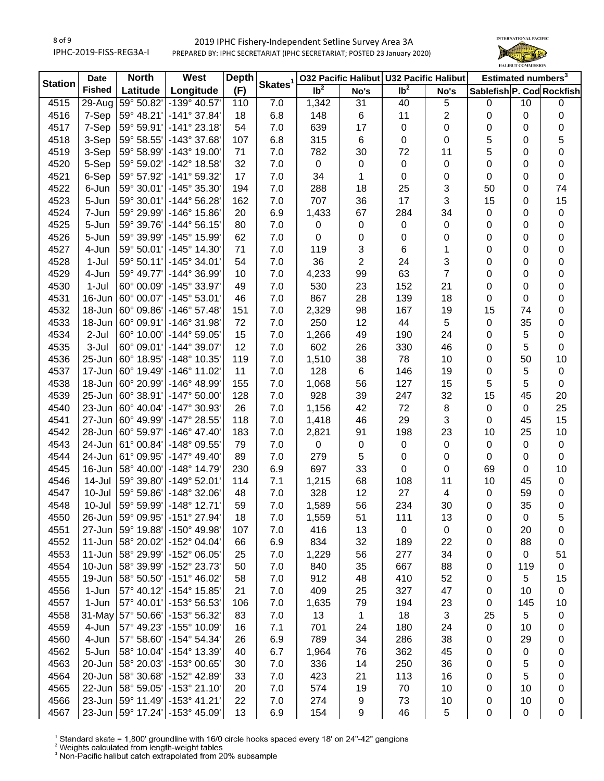### 2019 IPHC Fishery-Independent Setline Survey Area 3A PREPARED BY: IPHC SECRETARIAT (IPHC SECRETARIAT; POSTED 23 January 2020)



| Ib <sup>2</sup><br>Ib <sup>2</sup><br><b>Fished</b><br>(F)<br>Longitude<br>Latitude<br>Sablefish P. Cod Rockfish<br>No's<br>No's<br>4515<br>$29 - Aug$<br>59° 50.82'<br>7.0<br>1,342<br>31<br>40<br>-139° 40.57'<br>110<br>$\mathbf 5$<br>$\mathbf 0$<br>10<br>$\mathbf 0$<br>4516<br>7-Sep<br>59° 48.21'<br>$-141°37.84'$<br>6.8<br>6<br>11<br>$\overline{c}$<br>18<br>148<br>0<br>0<br>$\pmb{0}$<br>7-Sep<br>59° 59.91'<br>$-141°23.18'$<br>54<br>639<br>17<br>0<br>4517<br>7.0<br>0<br>0<br>0<br>0<br>4518<br>3-Sep<br>59° 58.55'<br>-143° 37.68'<br>315<br>6<br>0<br>5<br>107<br>6.8<br>0<br>5<br>0<br>4519<br>3-Sep<br>59° 58.99'<br>$-143°$ 19.00<br>782<br>72<br>5<br>71<br>7.0<br>30<br>11<br>0<br>0<br>4520<br>5-Sep<br>59° 59.02'<br>-142° 18.58'<br>32<br>$\,0\,$<br>0<br>0<br>7.0<br>0<br>0<br>0<br>0<br>4521<br>6-Sep<br>59° 57.92'<br>-141° 59.32'<br>17<br>7.0<br>34<br>1<br>0<br>0<br>0<br>0<br>$\mathbf 0$<br>3<br>4522<br>59° 30.01'<br>-145° 35.30'<br>7.0<br>288<br>18<br>25<br>50<br>74<br>6-Jun<br>194<br>0<br>36<br>17<br>3<br>15<br>15<br>4523<br>59° 30.01'<br>$-144^{\circ} 56.28'$<br>7.0<br>707<br>5-Jun<br>162<br>0<br>4524<br>7-Jun<br>59° 29.99'<br>$-146^{\circ}$ 15.86<br>20<br>6.9<br>67<br>284<br>34<br>0<br>1,433<br>0<br>$\pmb{0}$<br>4525<br>5-Jun<br>59° 39.76'<br>$-144^{\circ}56.15'$<br>80<br>7.0<br>$\pmb{0}$<br>0<br>$\pmb{0}$<br>0<br>0<br>0<br>$\pmb{0}$<br>$\pmb{0}$<br>4526<br>5-Jun<br>59° 39.99'<br>-145° 15.99'<br>62<br>7.0<br>0<br>0<br>0<br>0<br>0<br>$\pmb{0}$<br>$\sqrt{3}$<br>6<br>4527<br>4-Jun<br>59° 50.01'<br>-145° 14.30'<br>71<br>7.0<br>119<br>1<br>$\pmb{0}$<br>0<br>0<br>$\overline{2}$<br>36<br>3<br>4528<br>$1-Jul$<br>59° 50.11'<br>$-145°34.01'$<br>54<br>7.0<br>24<br>$\pmb{0}$<br>0<br>0<br>63<br>$\overline{7}$<br>4529<br>4-Jun<br>59° 49.77'<br>-144° 36.99'<br>7.0<br>4,233<br>99<br>10<br>0<br>$\mathbf 0$<br>0<br>152<br>21<br>4530<br>$1-Jul$<br>60° 00.09'<br>-145° 33.97'<br>7.0<br>530<br>23<br>49<br>0<br>0<br>$\mathbf 0$<br>867<br>16-Jun<br>60° 00.07'<br>$-145°53.01'$<br>7.0<br>28<br>139<br>4531<br>46<br>18<br>0<br>$\pmb{0}$<br>0<br>4532<br>18-Jun<br>60° 09.86'<br>$-146°57.48'$<br>7.0<br>98<br>167<br>19<br>15<br>151<br>2,329<br>74<br>$\mathbf 0$<br>4533<br>18-Jun<br>60° 09.91'<br>$-146°31.98'$<br>72<br>7.0<br>250<br>12<br>44<br>5<br>35<br>0<br>0<br>4534<br>2-Jul<br>60° 10.00'<br>$-144^{\circ} 59.05'$<br>7.0<br>1,266<br>49<br>190<br>24<br>5<br>15<br>0<br>0<br>4535<br>3-Jul<br>60° 09.01'<br>$-144^{\circ}$ 39.07'<br>12<br>7.0<br>602<br>26<br>330<br>46<br>5<br>$\mathbf 0$<br>0<br>4536<br>25-Jun<br>60° 18.95'<br>-148° 10.35'<br>119<br>7.0<br>38<br>78<br>10<br>10<br>1,510<br>50<br>0<br>4537<br>17-Jun<br>60° 19.49'<br>$-146^{\circ}$ 11.02<br>11<br>7.0<br>128<br>6<br>146<br>19<br>5<br>0<br>$\pmb{0}$<br>60° 20.99'<br>4538<br>$-146^{\circ}$ 48.99<br>7.0<br>56<br>127<br>15<br>5<br>5<br>18-Jun<br>155<br>1,068<br>$\mathbf 0$<br>32<br>20<br>4539<br>60° 38.91'<br>-147° 50.00'<br>7.0<br>928<br>39<br>247<br>15<br>25-Jun<br>128<br>45<br>72<br>25<br>4540<br>23-Jun<br>60° 40.04'<br>-147° 30.93'<br>26<br>7.0<br>1,156<br>42<br>8<br>$\pmb{0}$<br>$\mathbf 0$<br>29<br>3<br>15<br>27-Jun<br>60° 49.99'<br>-147° 28.55'<br>7.0<br>46<br>4541<br>118<br>1,418<br>0<br>45<br>4542<br>28-Jun<br>60° 59.97'<br>$-146^{\circ}$ 47.40<br>7.0<br>2,821<br>91<br>198<br>23<br>10<br>25<br>10<br>183<br>4543<br>24-Jun<br>61° 00.84'<br>-148° 09.55'<br>79<br>7.0<br>0<br>$\pmb{0}$<br>0<br>$\pmb{0}$<br>$\mathbf 0$<br>$\mathbf 0$<br>$\pmb{0}$<br>5<br>4544<br>24-Jun<br>61° 09.95'<br>$-147^{\circ}$ 49.40<br>89<br>7.0<br>279<br>0<br>0<br>$\mathbf 0$<br>0<br>$\mathbf 0$<br>4545<br>16-Jun<br>58° 40.00'<br>$-148°$ 14.79<br>230<br>6.9<br>697<br>33<br>0<br>0<br>69<br>10<br>0<br>4546<br>59° 39.80'<br>$-149°52.01'$<br>7.1<br>1,215<br>68<br>108<br>11<br>10<br>45<br>14-Jul<br>114<br>$\pmb{0}$<br>27<br>-148° 32.06'<br>7.0<br>328<br>12<br>59<br>4547<br>10-Jul<br>59° 59.86'<br>48<br>4<br>0<br>$\pmb{0}$<br>234<br>$-148°$ 12.71<br>7.0<br>1,589<br>56<br>30<br>35<br>$\pmb{0}$<br>4548<br>10-Jul<br>59° 59.99'<br>59<br>0<br>4550<br>26-Jun   59° 09.95'   -151° 27.94'<br>18<br>7.0<br>1,559<br>51<br>111<br>13<br>0<br>0<br>5<br>59° 19.88'<br>4551<br>27-Jun<br>-150° 49.98'<br>7.0<br>416<br>13<br>0<br>0<br>20<br>107<br>0<br>0<br>$11 - Jun$<br>58° 20.02'<br>-152° 04.04'<br>834<br>32<br>22<br>4552<br>6.9<br>189<br>88<br>66<br>0<br>0<br>$11$ -Jun<br>58° 29.99'<br>-152° 06.05'<br>277<br>34<br>4553<br>25<br>7.0<br>1,229<br>56<br>0<br>51<br>0<br>10-Jun<br>58° 39.99'<br>-152° 23.73'<br>35<br>88<br>4554<br>50<br>7.0<br>840<br>667<br>119<br>0<br>0<br>4555<br>58° 50.50'<br>$-151^{\circ}$ 46.02<br>912<br>410<br>52<br>5<br>15<br>19-Jun<br>58<br>7.0<br>48<br>0<br>4556<br>57° 40.12'<br>-154° 15.85'<br>7.0<br>25<br>327<br>47<br>1-Jun<br>21<br>409<br>10<br>$\mathbf 0$<br>0<br>4557<br>1-Jun<br>57° 40.01'<br>-153° 56.53'<br>7.0<br>23<br>145<br>10<br>106<br>1,635<br>79<br>194<br>$\pmb{0}$<br>4558<br>31-May 57° 50.66'<br>-153° 56.32'<br>7.0<br>13<br>1<br>18<br>3<br>25<br>5<br>83<br>0<br>4559<br>4-Jun<br>57° 49.23'<br>-155° 10.09'<br>7.1<br>701<br>24<br>10<br>16<br>24<br>180<br>0<br>0<br>4-Jun<br>57° 58.60'<br>-154° 54.34'<br>789<br>34<br>286<br>38<br>29<br>4560<br>26<br>6.9<br>0<br>0<br>5-Jun<br>58° 10.04'<br>-154° 13.39'<br>362<br>4562<br>40<br>6.7<br>1,964<br>76<br>45<br>0<br>0<br>0<br>4563<br>20-Jun<br>58° 20.03'<br>-153° 00.65'<br>250<br>36<br>5<br>30<br>7.0<br>336<br>14<br>0<br>0<br>4564<br>58° 30.68'<br>-152° 42.89'<br>423<br>21<br>113<br>5<br>20-Jun<br>33<br>7.0<br>16<br>0<br>0<br>574<br>70<br>4565<br>$22$ -Jun<br>58° 59.05'<br>$-153°$ 21.10<br>20<br>7.0<br>19<br>10<br>10<br>0<br>0<br>23-Jun 59° 11.49'<br>274<br>73<br>10<br>4566<br>$-153^{\circ}$ 41.21'<br>22<br>7.0<br>9<br>10<br>0<br>0 | <b>Station</b> | <b>Date</b> | <b>North</b> | West | <b>Depth</b> |                     |  | 032 Pacific Halibut U32 Pacific Halibut | Estimated numbers <sup>3</sup> |  |
|----------------------------------------------------------------------------------------------------------------------------------------------------------------------------------------------------------------------------------------------------------------------------------------------------------------------------------------------------------------------------------------------------------------------------------------------------------------------------------------------------------------------------------------------------------------------------------------------------------------------------------------------------------------------------------------------------------------------------------------------------------------------------------------------------------------------------------------------------------------------------------------------------------------------------------------------------------------------------------------------------------------------------------------------------------------------------------------------------------------------------------------------------------------------------------------------------------------------------------------------------------------------------------------------------------------------------------------------------------------------------------------------------------------------------------------------------------------------------------------------------------------------------------------------------------------------------------------------------------------------------------------------------------------------------------------------------------------------------------------------------------------------------------------------------------------------------------------------------------------------------------------------------------------------------------------------------------------------------------------------------------------------------------------------------------------------------------------------------------------------------------------------------------------------------------------------------------------------------------------------------------------------------------------------------------------------------------------------------------------------------------------------------------------------------------------------------------------------------------------------------------------------------------------------------------------------------------------------------------------------------------------------------------------------------------------------------------------------------------------------------------------------------------------------------------------------------------------------------------------------------------------------------------------------------------------------------------------------------------------------------------------------------------------------------------------------------------------------------------------------------------------------------------------------------------------------------------------------------------------------------------------------------------------------------------------------------------------------------------------------------------------------------------------------------------------------------------------------------------------------------------------------------------------------------------------------------------------------------------------------------------------------------------------------------------------------------------------------------------------------------------------------------------------------------------------------------------------------------------------------------------------------------------------------------------------------------------------------------------------------------------------------------------------------------------------------------------------------------------------------------------------------------------------------------------------------------------------------------------------------------------------------------------------------------------------------------------------------------------------------------------------------------------------------------------------------------------------------------------------------------------------------------------------------------------------------------------------------------------------------------------------------------------------------------------------------------------------------------------------------------------------------------------------------------------------------------------------------------------------------------------------------------------------------------------------------------------------------------------------------------------------------------------------------------------------------------------------------------------------------------------------------------------------------------------------------------------------------------------------------------------------------------------------------------------------------------------------------------------------------------------------------------------------------------------------------------------------------------------------------------------------------------------------------------------------------------------------------------------------------------------------------------------------------------------------------------------------------------------------------------------------------------------------------------------------------------------------------------------------------------------------------------------------|----------------|-------------|--------------|------|--------------|---------------------|--|-----------------------------------------|--------------------------------|--|
|                                                                                                                                                                                                                                                                                                                                                                                                                                                                                                                                                                                                                                                                                                                                                                                                                                                                                                                                                                                                                                                                                                                                                                                                                                                                                                                                                                                                                                                                                                                                                                                                                                                                                                                                                                                                                                                                                                                                                                                                                                                                                                                                                                                                                                                                                                                                                                                                                                                                                                                                                                                                                                                                                                                                                                                                                                                                                                                                                                                                                                                                                                                                                                                                                                                                                                                                                                                                                                                                                                                                                                                                                                                                                                                                                                                                                                                                                                                                                                                                                                                                                                                                                                                                                                                                                                                                                                                                                                                                                                                                                                                                                                                                                                                                                                                                                                                                                                                                                                                                                                                                                                                                                                                                                                                                                                                                                                                                                                                                                                                                                                                                                                                                                                                                                                                                                                                                                                                |                |             |              |      |              | Skates <sup>1</sup> |  |                                         |                                |  |
|                                                                                                                                                                                                                                                                                                                                                                                                                                                                                                                                                                                                                                                                                                                                                                                                                                                                                                                                                                                                                                                                                                                                                                                                                                                                                                                                                                                                                                                                                                                                                                                                                                                                                                                                                                                                                                                                                                                                                                                                                                                                                                                                                                                                                                                                                                                                                                                                                                                                                                                                                                                                                                                                                                                                                                                                                                                                                                                                                                                                                                                                                                                                                                                                                                                                                                                                                                                                                                                                                                                                                                                                                                                                                                                                                                                                                                                                                                                                                                                                                                                                                                                                                                                                                                                                                                                                                                                                                                                                                                                                                                                                                                                                                                                                                                                                                                                                                                                                                                                                                                                                                                                                                                                                                                                                                                                                                                                                                                                                                                                                                                                                                                                                                                                                                                                                                                                                                                                |                |             |              |      |              |                     |  |                                         |                                |  |
|                                                                                                                                                                                                                                                                                                                                                                                                                                                                                                                                                                                                                                                                                                                                                                                                                                                                                                                                                                                                                                                                                                                                                                                                                                                                                                                                                                                                                                                                                                                                                                                                                                                                                                                                                                                                                                                                                                                                                                                                                                                                                                                                                                                                                                                                                                                                                                                                                                                                                                                                                                                                                                                                                                                                                                                                                                                                                                                                                                                                                                                                                                                                                                                                                                                                                                                                                                                                                                                                                                                                                                                                                                                                                                                                                                                                                                                                                                                                                                                                                                                                                                                                                                                                                                                                                                                                                                                                                                                                                                                                                                                                                                                                                                                                                                                                                                                                                                                                                                                                                                                                                                                                                                                                                                                                                                                                                                                                                                                                                                                                                                                                                                                                                                                                                                                                                                                                                                                |                |             |              |      |              |                     |  |                                         |                                |  |
|                                                                                                                                                                                                                                                                                                                                                                                                                                                                                                                                                                                                                                                                                                                                                                                                                                                                                                                                                                                                                                                                                                                                                                                                                                                                                                                                                                                                                                                                                                                                                                                                                                                                                                                                                                                                                                                                                                                                                                                                                                                                                                                                                                                                                                                                                                                                                                                                                                                                                                                                                                                                                                                                                                                                                                                                                                                                                                                                                                                                                                                                                                                                                                                                                                                                                                                                                                                                                                                                                                                                                                                                                                                                                                                                                                                                                                                                                                                                                                                                                                                                                                                                                                                                                                                                                                                                                                                                                                                                                                                                                                                                                                                                                                                                                                                                                                                                                                                                                                                                                                                                                                                                                                                                                                                                                                                                                                                                                                                                                                                                                                                                                                                                                                                                                                                                                                                                                                                |                |             |              |      |              |                     |  |                                         |                                |  |
|                                                                                                                                                                                                                                                                                                                                                                                                                                                                                                                                                                                                                                                                                                                                                                                                                                                                                                                                                                                                                                                                                                                                                                                                                                                                                                                                                                                                                                                                                                                                                                                                                                                                                                                                                                                                                                                                                                                                                                                                                                                                                                                                                                                                                                                                                                                                                                                                                                                                                                                                                                                                                                                                                                                                                                                                                                                                                                                                                                                                                                                                                                                                                                                                                                                                                                                                                                                                                                                                                                                                                                                                                                                                                                                                                                                                                                                                                                                                                                                                                                                                                                                                                                                                                                                                                                                                                                                                                                                                                                                                                                                                                                                                                                                                                                                                                                                                                                                                                                                                                                                                                                                                                                                                                                                                                                                                                                                                                                                                                                                                                                                                                                                                                                                                                                                                                                                                                                                |                |             |              |      |              |                     |  |                                         |                                |  |
|                                                                                                                                                                                                                                                                                                                                                                                                                                                                                                                                                                                                                                                                                                                                                                                                                                                                                                                                                                                                                                                                                                                                                                                                                                                                                                                                                                                                                                                                                                                                                                                                                                                                                                                                                                                                                                                                                                                                                                                                                                                                                                                                                                                                                                                                                                                                                                                                                                                                                                                                                                                                                                                                                                                                                                                                                                                                                                                                                                                                                                                                                                                                                                                                                                                                                                                                                                                                                                                                                                                                                                                                                                                                                                                                                                                                                                                                                                                                                                                                                                                                                                                                                                                                                                                                                                                                                                                                                                                                                                                                                                                                                                                                                                                                                                                                                                                                                                                                                                                                                                                                                                                                                                                                                                                                                                                                                                                                                                                                                                                                                                                                                                                                                                                                                                                                                                                                                                                |                |             |              |      |              |                     |  |                                         |                                |  |
|                                                                                                                                                                                                                                                                                                                                                                                                                                                                                                                                                                                                                                                                                                                                                                                                                                                                                                                                                                                                                                                                                                                                                                                                                                                                                                                                                                                                                                                                                                                                                                                                                                                                                                                                                                                                                                                                                                                                                                                                                                                                                                                                                                                                                                                                                                                                                                                                                                                                                                                                                                                                                                                                                                                                                                                                                                                                                                                                                                                                                                                                                                                                                                                                                                                                                                                                                                                                                                                                                                                                                                                                                                                                                                                                                                                                                                                                                                                                                                                                                                                                                                                                                                                                                                                                                                                                                                                                                                                                                                                                                                                                                                                                                                                                                                                                                                                                                                                                                                                                                                                                                                                                                                                                                                                                                                                                                                                                                                                                                                                                                                                                                                                                                                                                                                                                                                                                                                                |                |             |              |      |              |                     |  |                                         |                                |  |
|                                                                                                                                                                                                                                                                                                                                                                                                                                                                                                                                                                                                                                                                                                                                                                                                                                                                                                                                                                                                                                                                                                                                                                                                                                                                                                                                                                                                                                                                                                                                                                                                                                                                                                                                                                                                                                                                                                                                                                                                                                                                                                                                                                                                                                                                                                                                                                                                                                                                                                                                                                                                                                                                                                                                                                                                                                                                                                                                                                                                                                                                                                                                                                                                                                                                                                                                                                                                                                                                                                                                                                                                                                                                                                                                                                                                                                                                                                                                                                                                                                                                                                                                                                                                                                                                                                                                                                                                                                                                                                                                                                                                                                                                                                                                                                                                                                                                                                                                                                                                                                                                                                                                                                                                                                                                                                                                                                                                                                                                                                                                                                                                                                                                                                                                                                                                                                                                                                                |                |             |              |      |              |                     |  |                                         |                                |  |
|                                                                                                                                                                                                                                                                                                                                                                                                                                                                                                                                                                                                                                                                                                                                                                                                                                                                                                                                                                                                                                                                                                                                                                                                                                                                                                                                                                                                                                                                                                                                                                                                                                                                                                                                                                                                                                                                                                                                                                                                                                                                                                                                                                                                                                                                                                                                                                                                                                                                                                                                                                                                                                                                                                                                                                                                                                                                                                                                                                                                                                                                                                                                                                                                                                                                                                                                                                                                                                                                                                                                                                                                                                                                                                                                                                                                                                                                                                                                                                                                                                                                                                                                                                                                                                                                                                                                                                                                                                                                                                                                                                                                                                                                                                                                                                                                                                                                                                                                                                                                                                                                                                                                                                                                                                                                                                                                                                                                                                                                                                                                                                                                                                                                                                                                                                                                                                                                                                                |                |             |              |      |              |                     |  |                                         |                                |  |
|                                                                                                                                                                                                                                                                                                                                                                                                                                                                                                                                                                                                                                                                                                                                                                                                                                                                                                                                                                                                                                                                                                                                                                                                                                                                                                                                                                                                                                                                                                                                                                                                                                                                                                                                                                                                                                                                                                                                                                                                                                                                                                                                                                                                                                                                                                                                                                                                                                                                                                                                                                                                                                                                                                                                                                                                                                                                                                                                                                                                                                                                                                                                                                                                                                                                                                                                                                                                                                                                                                                                                                                                                                                                                                                                                                                                                                                                                                                                                                                                                                                                                                                                                                                                                                                                                                                                                                                                                                                                                                                                                                                                                                                                                                                                                                                                                                                                                                                                                                                                                                                                                                                                                                                                                                                                                                                                                                                                                                                                                                                                                                                                                                                                                                                                                                                                                                                                                                                |                |             |              |      |              |                     |  |                                         |                                |  |
|                                                                                                                                                                                                                                                                                                                                                                                                                                                                                                                                                                                                                                                                                                                                                                                                                                                                                                                                                                                                                                                                                                                                                                                                                                                                                                                                                                                                                                                                                                                                                                                                                                                                                                                                                                                                                                                                                                                                                                                                                                                                                                                                                                                                                                                                                                                                                                                                                                                                                                                                                                                                                                                                                                                                                                                                                                                                                                                                                                                                                                                                                                                                                                                                                                                                                                                                                                                                                                                                                                                                                                                                                                                                                                                                                                                                                                                                                                                                                                                                                                                                                                                                                                                                                                                                                                                                                                                                                                                                                                                                                                                                                                                                                                                                                                                                                                                                                                                                                                                                                                                                                                                                                                                                                                                                                                                                                                                                                                                                                                                                                                                                                                                                                                                                                                                                                                                                                                                |                |             |              |      |              |                     |  |                                         |                                |  |
|                                                                                                                                                                                                                                                                                                                                                                                                                                                                                                                                                                                                                                                                                                                                                                                                                                                                                                                                                                                                                                                                                                                                                                                                                                                                                                                                                                                                                                                                                                                                                                                                                                                                                                                                                                                                                                                                                                                                                                                                                                                                                                                                                                                                                                                                                                                                                                                                                                                                                                                                                                                                                                                                                                                                                                                                                                                                                                                                                                                                                                                                                                                                                                                                                                                                                                                                                                                                                                                                                                                                                                                                                                                                                                                                                                                                                                                                                                                                                                                                                                                                                                                                                                                                                                                                                                                                                                                                                                                                                                                                                                                                                                                                                                                                                                                                                                                                                                                                                                                                                                                                                                                                                                                                                                                                                                                                                                                                                                                                                                                                                                                                                                                                                                                                                                                                                                                                                                                |                |             |              |      |              |                     |  |                                         |                                |  |
|                                                                                                                                                                                                                                                                                                                                                                                                                                                                                                                                                                                                                                                                                                                                                                                                                                                                                                                                                                                                                                                                                                                                                                                                                                                                                                                                                                                                                                                                                                                                                                                                                                                                                                                                                                                                                                                                                                                                                                                                                                                                                                                                                                                                                                                                                                                                                                                                                                                                                                                                                                                                                                                                                                                                                                                                                                                                                                                                                                                                                                                                                                                                                                                                                                                                                                                                                                                                                                                                                                                                                                                                                                                                                                                                                                                                                                                                                                                                                                                                                                                                                                                                                                                                                                                                                                                                                                                                                                                                                                                                                                                                                                                                                                                                                                                                                                                                                                                                                                                                                                                                                                                                                                                                                                                                                                                                                                                                                                                                                                                                                                                                                                                                                                                                                                                                                                                                                                                |                |             |              |      |              |                     |  |                                         |                                |  |
|                                                                                                                                                                                                                                                                                                                                                                                                                                                                                                                                                                                                                                                                                                                                                                                                                                                                                                                                                                                                                                                                                                                                                                                                                                                                                                                                                                                                                                                                                                                                                                                                                                                                                                                                                                                                                                                                                                                                                                                                                                                                                                                                                                                                                                                                                                                                                                                                                                                                                                                                                                                                                                                                                                                                                                                                                                                                                                                                                                                                                                                                                                                                                                                                                                                                                                                                                                                                                                                                                                                                                                                                                                                                                                                                                                                                                                                                                                                                                                                                                                                                                                                                                                                                                                                                                                                                                                                                                                                                                                                                                                                                                                                                                                                                                                                                                                                                                                                                                                                                                                                                                                                                                                                                                                                                                                                                                                                                                                                                                                                                                                                                                                                                                                                                                                                                                                                                                                                |                |             |              |      |              |                     |  |                                         |                                |  |
|                                                                                                                                                                                                                                                                                                                                                                                                                                                                                                                                                                                                                                                                                                                                                                                                                                                                                                                                                                                                                                                                                                                                                                                                                                                                                                                                                                                                                                                                                                                                                                                                                                                                                                                                                                                                                                                                                                                                                                                                                                                                                                                                                                                                                                                                                                                                                                                                                                                                                                                                                                                                                                                                                                                                                                                                                                                                                                                                                                                                                                                                                                                                                                                                                                                                                                                                                                                                                                                                                                                                                                                                                                                                                                                                                                                                                                                                                                                                                                                                                                                                                                                                                                                                                                                                                                                                                                                                                                                                                                                                                                                                                                                                                                                                                                                                                                                                                                                                                                                                                                                                                                                                                                                                                                                                                                                                                                                                                                                                                                                                                                                                                                                                                                                                                                                                                                                                                                                |                |             |              |      |              |                     |  |                                         |                                |  |
|                                                                                                                                                                                                                                                                                                                                                                                                                                                                                                                                                                                                                                                                                                                                                                                                                                                                                                                                                                                                                                                                                                                                                                                                                                                                                                                                                                                                                                                                                                                                                                                                                                                                                                                                                                                                                                                                                                                                                                                                                                                                                                                                                                                                                                                                                                                                                                                                                                                                                                                                                                                                                                                                                                                                                                                                                                                                                                                                                                                                                                                                                                                                                                                                                                                                                                                                                                                                                                                                                                                                                                                                                                                                                                                                                                                                                                                                                                                                                                                                                                                                                                                                                                                                                                                                                                                                                                                                                                                                                                                                                                                                                                                                                                                                                                                                                                                                                                                                                                                                                                                                                                                                                                                                                                                                                                                                                                                                                                                                                                                                                                                                                                                                                                                                                                                                                                                                                                                |                |             |              |      |              |                     |  |                                         |                                |  |
|                                                                                                                                                                                                                                                                                                                                                                                                                                                                                                                                                                                                                                                                                                                                                                                                                                                                                                                                                                                                                                                                                                                                                                                                                                                                                                                                                                                                                                                                                                                                                                                                                                                                                                                                                                                                                                                                                                                                                                                                                                                                                                                                                                                                                                                                                                                                                                                                                                                                                                                                                                                                                                                                                                                                                                                                                                                                                                                                                                                                                                                                                                                                                                                                                                                                                                                                                                                                                                                                                                                                                                                                                                                                                                                                                                                                                                                                                                                                                                                                                                                                                                                                                                                                                                                                                                                                                                                                                                                                                                                                                                                                                                                                                                                                                                                                                                                                                                                                                                                                                                                                                                                                                                                                                                                                                                                                                                                                                                                                                                                                                                                                                                                                                                                                                                                                                                                                                                                |                |             |              |      |              |                     |  |                                         |                                |  |
|                                                                                                                                                                                                                                                                                                                                                                                                                                                                                                                                                                                                                                                                                                                                                                                                                                                                                                                                                                                                                                                                                                                                                                                                                                                                                                                                                                                                                                                                                                                                                                                                                                                                                                                                                                                                                                                                                                                                                                                                                                                                                                                                                                                                                                                                                                                                                                                                                                                                                                                                                                                                                                                                                                                                                                                                                                                                                                                                                                                                                                                                                                                                                                                                                                                                                                                                                                                                                                                                                                                                                                                                                                                                                                                                                                                                                                                                                                                                                                                                                                                                                                                                                                                                                                                                                                                                                                                                                                                                                                                                                                                                                                                                                                                                                                                                                                                                                                                                                                                                                                                                                                                                                                                                                                                                                                                                                                                                                                                                                                                                                                                                                                                                                                                                                                                                                                                                                                                |                |             |              |      |              |                     |  |                                         |                                |  |
|                                                                                                                                                                                                                                                                                                                                                                                                                                                                                                                                                                                                                                                                                                                                                                                                                                                                                                                                                                                                                                                                                                                                                                                                                                                                                                                                                                                                                                                                                                                                                                                                                                                                                                                                                                                                                                                                                                                                                                                                                                                                                                                                                                                                                                                                                                                                                                                                                                                                                                                                                                                                                                                                                                                                                                                                                                                                                                                                                                                                                                                                                                                                                                                                                                                                                                                                                                                                                                                                                                                                                                                                                                                                                                                                                                                                                                                                                                                                                                                                                                                                                                                                                                                                                                                                                                                                                                                                                                                                                                                                                                                                                                                                                                                                                                                                                                                                                                                                                                                                                                                                                                                                                                                                                                                                                                                                                                                                                                                                                                                                                                                                                                                                                                                                                                                                                                                                                                                |                |             |              |      |              |                     |  |                                         |                                |  |
|                                                                                                                                                                                                                                                                                                                                                                                                                                                                                                                                                                                                                                                                                                                                                                                                                                                                                                                                                                                                                                                                                                                                                                                                                                                                                                                                                                                                                                                                                                                                                                                                                                                                                                                                                                                                                                                                                                                                                                                                                                                                                                                                                                                                                                                                                                                                                                                                                                                                                                                                                                                                                                                                                                                                                                                                                                                                                                                                                                                                                                                                                                                                                                                                                                                                                                                                                                                                                                                                                                                                                                                                                                                                                                                                                                                                                                                                                                                                                                                                                                                                                                                                                                                                                                                                                                                                                                                                                                                                                                                                                                                                                                                                                                                                                                                                                                                                                                                                                                                                                                                                                                                                                                                                                                                                                                                                                                                                                                                                                                                                                                                                                                                                                                                                                                                                                                                                                                                |                |             |              |      |              |                     |  |                                         |                                |  |
|                                                                                                                                                                                                                                                                                                                                                                                                                                                                                                                                                                                                                                                                                                                                                                                                                                                                                                                                                                                                                                                                                                                                                                                                                                                                                                                                                                                                                                                                                                                                                                                                                                                                                                                                                                                                                                                                                                                                                                                                                                                                                                                                                                                                                                                                                                                                                                                                                                                                                                                                                                                                                                                                                                                                                                                                                                                                                                                                                                                                                                                                                                                                                                                                                                                                                                                                                                                                                                                                                                                                                                                                                                                                                                                                                                                                                                                                                                                                                                                                                                                                                                                                                                                                                                                                                                                                                                                                                                                                                                                                                                                                                                                                                                                                                                                                                                                                                                                                                                                                                                                                                                                                                                                                                                                                                                                                                                                                                                                                                                                                                                                                                                                                                                                                                                                                                                                                                                                |                |             |              |      |              |                     |  |                                         |                                |  |
|                                                                                                                                                                                                                                                                                                                                                                                                                                                                                                                                                                                                                                                                                                                                                                                                                                                                                                                                                                                                                                                                                                                                                                                                                                                                                                                                                                                                                                                                                                                                                                                                                                                                                                                                                                                                                                                                                                                                                                                                                                                                                                                                                                                                                                                                                                                                                                                                                                                                                                                                                                                                                                                                                                                                                                                                                                                                                                                                                                                                                                                                                                                                                                                                                                                                                                                                                                                                                                                                                                                                                                                                                                                                                                                                                                                                                                                                                                                                                                                                                                                                                                                                                                                                                                                                                                                                                                                                                                                                                                                                                                                                                                                                                                                                                                                                                                                                                                                                                                                                                                                                                                                                                                                                                                                                                                                                                                                                                                                                                                                                                                                                                                                                                                                                                                                                                                                                                                                |                |             |              |      |              |                     |  |                                         |                                |  |
|                                                                                                                                                                                                                                                                                                                                                                                                                                                                                                                                                                                                                                                                                                                                                                                                                                                                                                                                                                                                                                                                                                                                                                                                                                                                                                                                                                                                                                                                                                                                                                                                                                                                                                                                                                                                                                                                                                                                                                                                                                                                                                                                                                                                                                                                                                                                                                                                                                                                                                                                                                                                                                                                                                                                                                                                                                                                                                                                                                                                                                                                                                                                                                                                                                                                                                                                                                                                                                                                                                                                                                                                                                                                                                                                                                                                                                                                                                                                                                                                                                                                                                                                                                                                                                                                                                                                                                                                                                                                                                                                                                                                                                                                                                                                                                                                                                                                                                                                                                                                                                                                                                                                                                                                                                                                                                                                                                                                                                                                                                                                                                                                                                                                                                                                                                                                                                                                                                                |                |             |              |      |              |                     |  |                                         |                                |  |
|                                                                                                                                                                                                                                                                                                                                                                                                                                                                                                                                                                                                                                                                                                                                                                                                                                                                                                                                                                                                                                                                                                                                                                                                                                                                                                                                                                                                                                                                                                                                                                                                                                                                                                                                                                                                                                                                                                                                                                                                                                                                                                                                                                                                                                                                                                                                                                                                                                                                                                                                                                                                                                                                                                                                                                                                                                                                                                                                                                                                                                                                                                                                                                                                                                                                                                                                                                                                                                                                                                                                                                                                                                                                                                                                                                                                                                                                                                                                                                                                                                                                                                                                                                                                                                                                                                                                                                                                                                                                                                                                                                                                                                                                                                                                                                                                                                                                                                                                                                                                                                                                                                                                                                                                                                                                                                                                                                                                                                                                                                                                                                                                                                                                                                                                                                                                                                                                                                                |                |             |              |      |              |                     |  |                                         |                                |  |
|                                                                                                                                                                                                                                                                                                                                                                                                                                                                                                                                                                                                                                                                                                                                                                                                                                                                                                                                                                                                                                                                                                                                                                                                                                                                                                                                                                                                                                                                                                                                                                                                                                                                                                                                                                                                                                                                                                                                                                                                                                                                                                                                                                                                                                                                                                                                                                                                                                                                                                                                                                                                                                                                                                                                                                                                                                                                                                                                                                                                                                                                                                                                                                                                                                                                                                                                                                                                                                                                                                                                                                                                                                                                                                                                                                                                                                                                                                                                                                                                                                                                                                                                                                                                                                                                                                                                                                                                                                                                                                                                                                                                                                                                                                                                                                                                                                                                                                                                                                                                                                                                                                                                                                                                                                                                                                                                                                                                                                                                                                                                                                                                                                                                                                                                                                                                                                                                                                                |                |             |              |      |              |                     |  |                                         |                                |  |
|                                                                                                                                                                                                                                                                                                                                                                                                                                                                                                                                                                                                                                                                                                                                                                                                                                                                                                                                                                                                                                                                                                                                                                                                                                                                                                                                                                                                                                                                                                                                                                                                                                                                                                                                                                                                                                                                                                                                                                                                                                                                                                                                                                                                                                                                                                                                                                                                                                                                                                                                                                                                                                                                                                                                                                                                                                                                                                                                                                                                                                                                                                                                                                                                                                                                                                                                                                                                                                                                                                                                                                                                                                                                                                                                                                                                                                                                                                                                                                                                                                                                                                                                                                                                                                                                                                                                                                                                                                                                                                                                                                                                                                                                                                                                                                                                                                                                                                                                                                                                                                                                                                                                                                                                                                                                                                                                                                                                                                                                                                                                                                                                                                                                                                                                                                                                                                                                                                                |                |             |              |      |              |                     |  |                                         |                                |  |
|                                                                                                                                                                                                                                                                                                                                                                                                                                                                                                                                                                                                                                                                                                                                                                                                                                                                                                                                                                                                                                                                                                                                                                                                                                                                                                                                                                                                                                                                                                                                                                                                                                                                                                                                                                                                                                                                                                                                                                                                                                                                                                                                                                                                                                                                                                                                                                                                                                                                                                                                                                                                                                                                                                                                                                                                                                                                                                                                                                                                                                                                                                                                                                                                                                                                                                                                                                                                                                                                                                                                                                                                                                                                                                                                                                                                                                                                                                                                                                                                                                                                                                                                                                                                                                                                                                                                                                                                                                                                                                                                                                                                                                                                                                                                                                                                                                                                                                                                                                                                                                                                                                                                                                                                                                                                                                                                                                                                                                                                                                                                                                                                                                                                                                                                                                                                                                                                                                                |                |             |              |      |              |                     |  |                                         |                                |  |
|                                                                                                                                                                                                                                                                                                                                                                                                                                                                                                                                                                                                                                                                                                                                                                                                                                                                                                                                                                                                                                                                                                                                                                                                                                                                                                                                                                                                                                                                                                                                                                                                                                                                                                                                                                                                                                                                                                                                                                                                                                                                                                                                                                                                                                                                                                                                                                                                                                                                                                                                                                                                                                                                                                                                                                                                                                                                                                                                                                                                                                                                                                                                                                                                                                                                                                                                                                                                                                                                                                                                                                                                                                                                                                                                                                                                                                                                                                                                                                                                                                                                                                                                                                                                                                                                                                                                                                                                                                                                                                                                                                                                                                                                                                                                                                                                                                                                                                                                                                                                                                                                                                                                                                                                                                                                                                                                                                                                                                                                                                                                                                                                                                                                                                                                                                                                                                                                                                                |                |             |              |      |              |                     |  |                                         |                                |  |
|                                                                                                                                                                                                                                                                                                                                                                                                                                                                                                                                                                                                                                                                                                                                                                                                                                                                                                                                                                                                                                                                                                                                                                                                                                                                                                                                                                                                                                                                                                                                                                                                                                                                                                                                                                                                                                                                                                                                                                                                                                                                                                                                                                                                                                                                                                                                                                                                                                                                                                                                                                                                                                                                                                                                                                                                                                                                                                                                                                                                                                                                                                                                                                                                                                                                                                                                                                                                                                                                                                                                                                                                                                                                                                                                                                                                                                                                                                                                                                                                                                                                                                                                                                                                                                                                                                                                                                                                                                                                                                                                                                                                                                                                                                                                                                                                                                                                                                                                                                                                                                                                                                                                                                                                                                                                                                                                                                                                                                                                                                                                                                                                                                                                                                                                                                                                                                                                                                                |                |             |              |      |              |                     |  |                                         |                                |  |
|                                                                                                                                                                                                                                                                                                                                                                                                                                                                                                                                                                                                                                                                                                                                                                                                                                                                                                                                                                                                                                                                                                                                                                                                                                                                                                                                                                                                                                                                                                                                                                                                                                                                                                                                                                                                                                                                                                                                                                                                                                                                                                                                                                                                                                                                                                                                                                                                                                                                                                                                                                                                                                                                                                                                                                                                                                                                                                                                                                                                                                                                                                                                                                                                                                                                                                                                                                                                                                                                                                                                                                                                                                                                                                                                                                                                                                                                                                                                                                                                                                                                                                                                                                                                                                                                                                                                                                                                                                                                                                                                                                                                                                                                                                                                                                                                                                                                                                                                                                                                                                                                                                                                                                                                                                                                                                                                                                                                                                                                                                                                                                                                                                                                                                                                                                                                                                                                                                                |                |             |              |      |              |                     |  |                                         |                                |  |
|                                                                                                                                                                                                                                                                                                                                                                                                                                                                                                                                                                                                                                                                                                                                                                                                                                                                                                                                                                                                                                                                                                                                                                                                                                                                                                                                                                                                                                                                                                                                                                                                                                                                                                                                                                                                                                                                                                                                                                                                                                                                                                                                                                                                                                                                                                                                                                                                                                                                                                                                                                                                                                                                                                                                                                                                                                                                                                                                                                                                                                                                                                                                                                                                                                                                                                                                                                                                                                                                                                                                                                                                                                                                                                                                                                                                                                                                                                                                                                                                                                                                                                                                                                                                                                                                                                                                                                                                                                                                                                                                                                                                                                                                                                                                                                                                                                                                                                                                                                                                                                                                                                                                                                                                                                                                                                                                                                                                                                                                                                                                                                                                                                                                                                                                                                                                                                                                                                                |                |             |              |      |              |                     |  |                                         |                                |  |
|                                                                                                                                                                                                                                                                                                                                                                                                                                                                                                                                                                                                                                                                                                                                                                                                                                                                                                                                                                                                                                                                                                                                                                                                                                                                                                                                                                                                                                                                                                                                                                                                                                                                                                                                                                                                                                                                                                                                                                                                                                                                                                                                                                                                                                                                                                                                                                                                                                                                                                                                                                                                                                                                                                                                                                                                                                                                                                                                                                                                                                                                                                                                                                                                                                                                                                                                                                                                                                                                                                                                                                                                                                                                                                                                                                                                                                                                                                                                                                                                                                                                                                                                                                                                                                                                                                                                                                                                                                                                                                                                                                                                                                                                                                                                                                                                                                                                                                                                                                                                                                                                                                                                                                                                                                                                                                                                                                                                                                                                                                                                                                                                                                                                                                                                                                                                                                                                                                                |                |             |              |      |              |                     |  |                                         |                                |  |
|                                                                                                                                                                                                                                                                                                                                                                                                                                                                                                                                                                                                                                                                                                                                                                                                                                                                                                                                                                                                                                                                                                                                                                                                                                                                                                                                                                                                                                                                                                                                                                                                                                                                                                                                                                                                                                                                                                                                                                                                                                                                                                                                                                                                                                                                                                                                                                                                                                                                                                                                                                                                                                                                                                                                                                                                                                                                                                                                                                                                                                                                                                                                                                                                                                                                                                                                                                                                                                                                                                                                                                                                                                                                                                                                                                                                                                                                                                                                                                                                                                                                                                                                                                                                                                                                                                                                                                                                                                                                                                                                                                                                                                                                                                                                                                                                                                                                                                                                                                                                                                                                                                                                                                                                                                                                                                                                                                                                                                                                                                                                                                                                                                                                                                                                                                                                                                                                                                                |                |             |              |      |              |                     |  |                                         |                                |  |
|                                                                                                                                                                                                                                                                                                                                                                                                                                                                                                                                                                                                                                                                                                                                                                                                                                                                                                                                                                                                                                                                                                                                                                                                                                                                                                                                                                                                                                                                                                                                                                                                                                                                                                                                                                                                                                                                                                                                                                                                                                                                                                                                                                                                                                                                                                                                                                                                                                                                                                                                                                                                                                                                                                                                                                                                                                                                                                                                                                                                                                                                                                                                                                                                                                                                                                                                                                                                                                                                                                                                                                                                                                                                                                                                                                                                                                                                                                                                                                                                                                                                                                                                                                                                                                                                                                                                                                                                                                                                                                                                                                                                                                                                                                                                                                                                                                                                                                                                                                                                                                                                                                                                                                                                                                                                                                                                                                                                                                                                                                                                                                                                                                                                                                                                                                                                                                                                                                                |                |             |              |      |              |                     |  |                                         |                                |  |
|                                                                                                                                                                                                                                                                                                                                                                                                                                                                                                                                                                                                                                                                                                                                                                                                                                                                                                                                                                                                                                                                                                                                                                                                                                                                                                                                                                                                                                                                                                                                                                                                                                                                                                                                                                                                                                                                                                                                                                                                                                                                                                                                                                                                                                                                                                                                                                                                                                                                                                                                                                                                                                                                                                                                                                                                                                                                                                                                                                                                                                                                                                                                                                                                                                                                                                                                                                                                                                                                                                                                                                                                                                                                                                                                                                                                                                                                                                                                                                                                                                                                                                                                                                                                                                                                                                                                                                                                                                                                                                                                                                                                                                                                                                                                                                                                                                                                                                                                                                                                                                                                                                                                                                                                                                                                                                                                                                                                                                                                                                                                                                                                                                                                                                                                                                                                                                                                                                                |                |             |              |      |              |                     |  |                                         |                                |  |
|                                                                                                                                                                                                                                                                                                                                                                                                                                                                                                                                                                                                                                                                                                                                                                                                                                                                                                                                                                                                                                                                                                                                                                                                                                                                                                                                                                                                                                                                                                                                                                                                                                                                                                                                                                                                                                                                                                                                                                                                                                                                                                                                                                                                                                                                                                                                                                                                                                                                                                                                                                                                                                                                                                                                                                                                                                                                                                                                                                                                                                                                                                                                                                                                                                                                                                                                                                                                                                                                                                                                                                                                                                                                                                                                                                                                                                                                                                                                                                                                                                                                                                                                                                                                                                                                                                                                                                                                                                                                                                                                                                                                                                                                                                                                                                                                                                                                                                                                                                                                                                                                                                                                                                                                                                                                                                                                                                                                                                                                                                                                                                                                                                                                                                                                                                                                                                                                                                                |                |             |              |      |              |                     |  |                                         |                                |  |
|                                                                                                                                                                                                                                                                                                                                                                                                                                                                                                                                                                                                                                                                                                                                                                                                                                                                                                                                                                                                                                                                                                                                                                                                                                                                                                                                                                                                                                                                                                                                                                                                                                                                                                                                                                                                                                                                                                                                                                                                                                                                                                                                                                                                                                                                                                                                                                                                                                                                                                                                                                                                                                                                                                                                                                                                                                                                                                                                                                                                                                                                                                                                                                                                                                                                                                                                                                                                                                                                                                                                                                                                                                                                                                                                                                                                                                                                                                                                                                                                                                                                                                                                                                                                                                                                                                                                                                                                                                                                                                                                                                                                                                                                                                                                                                                                                                                                                                                                                                                                                                                                                                                                                                                                                                                                                                                                                                                                                                                                                                                                                                                                                                                                                                                                                                                                                                                                                                                |                |             |              |      |              |                     |  |                                         |                                |  |
|                                                                                                                                                                                                                                                                                                                                                                                                                                                                                                                                                                                                                                                                                                                                                                                                                                                                                                                                                                                                                                                                                                                                                                                                                                                                                                                                                                                                                                                                                                                                                                                                                                                                                                                                                                                                                                                                                                                                                                                                                                                                                                                                                                                                                                                                                                                                                                                                                                                                                                                                                                                                                                                                                                                                                                                                                                                                                                                                                                                                                                                                                                                                                                                                                                                                                                                                                                                                                                                                                                                                                                                                                                                                                                                                                                                                                                                                                                                                                                                                                                                                                                                                                                                                                                                                                                                                                                                                                                                                                                                                                                                                                                                                                                                                                                                                                                                                                                                                                                                                                                                                                                                                                                                                                                                                                                                                                                                                                                                                                                                                                                                                                                                                                                                                                                                                                                                                                                                |                |             |              |      |              |                     |  |                                         |                                |  |
|                                                                                                                                                                                                                                                                                                                                                                                                                                                                                                                                                                                                                                                                                                                                                                                                                                                                                                                                                                                                                                                                                                                                                                                                                                                                                                                                                                                                                                                                                                                                                                                                                                                                                                                                                                                                                                                                                                                                                                                                                                                                                                                                                                                                                                                                                                                                                                                                                                                                                                                                                                                                                                                                                                                                                                                                                                                                                                                                                                                                                                                                                                                                                                                                                                                                                                                                                                                                                                                                                                                                                                                                                                                                                                                                                                                                                                                                                                                                                                                                                                                                                                                                                                                                                                                                                                                                                                                                                                                                                                                                                                                                                                                                                                                                                                                                                                                                                                                                                                                                                                                                                                                                                                                                                                                                                                                                                                                                                                                                                                                                                                                                                                                                                                                                                                                                                                                                                                                |                |             |              |      |              |                     |  |                                         |                                |  |
|                                                                                                                                                                                                                                                                                                                                                                                                                                                                                                                                                                                                                                                                                                                                                                                                                                                                                                                                                                                                                                                                                                                                                                                                                                                                                                                                                                                                                                                                                                                                                                                                                                                                                                                                                                                                                                                                                                                                                                                                                                                                                                                                                                                                                                                                                                                                                                                                                                                                                                                                                                                                                                                                                                                                                                                                                                                                                                                                                                                                                                                                                                                                                                                                                                                                                                                                                                                                                                                                                                                                                                                                                                                                                                                                                                                                                                                                                                                                                                                                                                                                                                                                                                                                                                                                                                                                                                                                                                                                                                                                                                                                                                                                                                                                                                                                                                                                                                                                                                                                                                                                                                                                                                                                                                                                                                                                                                                                                                                                                                                                                                                                                                                                                                                                                                                                                                                                                                                |                |             |              |      |              |                     |  |                                         |                                |  |
|                                                                                                                                                                                                                                                                                                                                                                                                                                                                                                                                                                                                                                                                                                                                                                                                                                                                                                                                                                                                                                                                                                                                                                                                                                                                                                                                                                                                                                                                                                                                                                                                                                                                                                                                                                                                                                                                                                                                                                                                                                                                                                                                                                                                                                                                                                                                                                                                                                                                                                                                                                                                                                                                                                                                                                                                                                                                                                                                                                                                                                                                                                                                                                                                                                                                                                                                                                                                                                                                                                                                                                                                                                                                                                                                                                                                                                                                                                                                                                                                                                                                                                                                                                                                                                                                                                                                                                                                                                                                                                                                                                                                                                                                                                                                                                                                                                                                                                                                                                                                                                                                                                                                                                                                                                                                                                                                                                                                                                                                                                                                                                                                                                                                                                                                                                                                                                                                                                                |                |             |              |      |              |                     |  |                                         |                                |  |
|                                                                                                                                                                                                                                                                                                                                                                                                                                                                                                                                                                                                                                                                                                                                                                                                                                                                                                                                                                                                                                                                                                                                                                                                                                                                                                                                                                                                                                                                                                                                                                                                                                                                                                                                                                                                                                                                                                                                                                                                                                                                                                                                                                                                                                                                                                                                                                                                                                                                                                                                                                                                                                                                                                                                                                                                                                                                                                                                                                                                                                                                                                                                                                                                                                                                                                                                                                                                                                                                                                                                                                                                                                                                                                                                                                                                                                                                                                                                                                                                                                                                                                                                                                                                                                                                                                                                                                                                                                                                                                                                                                                                                                                                                                                                                                                                                                                                                                                                                                                                                                                                                                                                                                                                                                                                                                                                                                                                                                                                                                                                                                                                                                                                                                                                                                                                                                                                                                                |                |             |              |      |              |                     |  |                                         |                                |  |
|                                                                                                                                                                                                                                                                                                                                                                                                                                                                                                                                                                                                                                                                                                                                                                                                                                                                                                                                                                                                                                                                                                                                                                                                                                                                                                                                                                                                                                                                                                                                                                                                                                                                                                                                                                                                                                                                                                                                                                                                                                                                                                                                                                                                                                                                                                                                                                                                                                                                                                                                                                                                                                                                                                                                                                                                                                                                                                                                                                                                                                                                                                                                                                                                                                                                                                                                                                                                                                                                                                                                                                                                                                                                                                                                                                                                                                                                                                                                                                                                                                                                                                                                                                                                                                                                                                                                                                                                                                                                                                                                                                                                                                                                                                                                                                                                                                                                                                                                                                                                                                                                                                                                                                                                                                                                                                                                                                                                                                                                                                                                                                                                                                                                                                                                                                                                                                                                                                                |                |             |              |      |              |                     |  |                                         |                                |  |
|                                                                                                                                                                                                                                                                                                                                                                                                                                                                                                                                                                                                                                                                                                                                                                                                                                                                                                                                                                                                                                                                                                                                                                                                                                                                                                                                                                                                                                                                                                                                                                                                                                                                                                                                                                                                                                                                                                                                                                                                                                                                                                                                                                                                                                                                                                                                                                                                                                                                                                                                                                                                                                                                                                                                                                                                                                                                                                                                                                                                                                                                                                                                                                                                                                                                                                                                                                                                                                                                                                                                                                                                                                                                                                                                                                                                                                                                                                                                                                                                                                                                                                                                                                                                                                                                                                                                                                                                                                                                                                                                                                                                                                                                                                                                                                                                                                                                                                                                                                                                                                                                                                                                                                                                                                                                                                                                                                                                                                                                                                                                                                                                                                                                                                                                                                                                                                                                                                                |                |             |              |      |              |                     |  |                                         |                                |  |
|                                                                                                                                                                                                                                                                                                                                                                                                                                                                                                                                                                                                                                                                                                                                                                                                                                                                                                                                                                                                                                                                                                                                                                                                                                                                                                                                                                                                                                                                                                                                                                                                                                                                                                                                                                                                                                                                                                                                                                                                                                                                                                                                                                                                                                                                                                                                                                                                                                                                                                                                                                                                                                                                                                                                                                                                                                                                                                                                                                                                                                                                                                                                                                                                                                                                                                                                                                                                                                                                                                                                                                                                                                                                                                                                                                                                                                                                                                                                                                                                                                                                                                                                                                                                                                                                                                                                                                                                                                                                                                                                                                                                                                                                                                                                                                                                                                                                                                                                                                                                                                                                                                                                                                                                                                                                                                                                                                                                                                                                                                                                                                                                                                                                                                                                                                                                                                                                                                                |                |             |              |      |              |                     |  |                                         |                                |  |
|                                                                                                                                                                                                                                                                                                                                                                                                                                                                                                                                                                                                                                                                                                                                                                                                                                                                                                                                                                                                                                                                                                                                                                                                                                                                                                                                                                                                                                                                                                                                                                                                                                                                                                                                                                                                                                                                                                                                                                                                                                                                                                                                                                                                                                                                                                                                                                                                                                                                                                                                                                                                                                                                                                                                                                                                                                                                                                                                                                                                                                                                                                                                                                                                                                                                                                                                                                                                                                                                                                                                                                                                                                                                                                                                                                                                                                                                                                                                                                                                                                                                                                                                                                                                                                                                                                                                                                                                                                                                                                                                                                                                                                                                                                                                                                                                                                                                                                                                                                                                                                                                                                                                                                                                                                                                                                                                                                                                                                                                                                                                                                                                                                                                                                                                                                                                                                                                                                                |                |             |              |      |              |                     |  |                                         |                                |  |
|                                                                                                                                                                                                                                                                                                                                                                                                                                                                                                                                                                                                                                                                                                                                                                                                                                                                                                                                                                                                                                                                                                                                                                                                                                                                                                                                                                                                                                                                                                                                                                                                                                                                                                                                                                                                                                                                                                                                                                                                                                                                                                                                                                                                                                                                                                                                                                                                                                                                                                                                                                                                                                                                                                                                                                                                                                                                                                                                                                                                                                                                                                                                                                                                                                                                                                                                                                                                                                                                                                                                                                                                                                                                                                                                                                                                                                                                                                                                                                                                                                                                                                                                                                                                                                                                                                                                                                                                                                                                                                                                                                                                                                                                                                                                                                                                                                                                                                                                                                                                                                                                                                                                                                                                                                                                                                                                                                                                                                                                                                                                                                                                                                                                                                                                                                                                                                                                                                                |                |             |              |      |              |                     |  |                                         |                                |  |
|                                                                                                                                                                                                                                                                                                                                                                                                                                                                                                                                                                                                                                                                                                                                                                                                                                                                                                                                                                                                                                                                                                                                                                                                                                                                                                                                                                                                                                                                                                                                                                                                                                                                                                                                                                                                                                                                                                                                                                                                                                                                                                                                                                                                                                                                                                                                                                                                                                                                                                                                                                                                                                                                                                                                                                                                                                                                                                                                                                                                                                                                                                                                                                                                                                                                                                                                                                                                                                                                                                                                                                                                                                                                                                                                                                                                                                                                                                                                                                                                                                                                                                                                                                                                                                                                                                                                                                                                                                                                                                                                                                                                                                                                                                                                                                                                                                                                                                                                                                                                                                                                                                                                                                                                                                                                                                                                                                                                                                                                                                                                                                                                                                                                                                                                                                                                                                                                                                                |                |             |              |      |              |                     |  |                                         |                                |  |
|                                                                                                                                                                                                                                                                                                                                                                                                                                                                                                                                                                                                                                                                                                                                                                                                                                                                                                                                                                                                                                                                                                                                                                                                                                                                                                                                                                                                                                                                                                                                                                                                                                                                                                                                                                                                                                                                                                                                                                                                                                                                                                                                                                                                                                                                                                                                                                                                                                                                                                                                                                                                                                                                                                                                                                                                                                                                                                                                                                                                                                                                                                                                                                                                                                                                                                                                                                                                                                                                                                                                                                                                                                                                                                                                                                                                                                                                                                                                                                                                                                                                                                                                                                                                                                                                                                                                                                                                                                                                                                                                                                                                                                                                                                                                                                                                                                                                                                                                                                                                                                                                                                                                                                                                                                                                                                                                                                                                                                                                                                                                                                                                                                                                                                                                                                                                                                                                                                                |                |             |              |      |              |                     |  |                                         |                                |  |
|                                                                                                                                                                                                                                                                                                                                                                                                                                                                                                                                                                                                                                                                                                                                                                                                                                                                                                                                                                                                                                                                                                                                                                                                                                                                                                                                                                                                                                                                                                                                                                                                                                                                                                                                                                                                                                                                                                                                                                                                                                                                                                                                                                                                                                                                                                                                                                                                                                                                                                                                                                                                                                                                                                                                                                                                                                                                                                                                                                                                                                                                                                                                                                                                                                                                                                                                                                                                                                                                                                                                                                                                                                                                                                                                                                                                                                                                                                                                                                                                                                                                                                                                                                                                                                                                                                                                                                                                                                                                                                                                                                                                                                                                                                                                                                                                                                                                                                                                                                                                                                                                                                                                                                                                                                                                                                                                                                                                                                                                                                                                                                                                                                                                                                                                                                                                                                                                                                                |                |             |              |      |              |                     |  |                                         |                                |  |
|                                                                                                                                                                                                                                                                                                                                                                                                                                                                                                                                                                                                                                                                                                                                                                                                                                                                                                                                                                                                                                                                                                                                                                                                                                                                                                                                                                                                                                                                                                                                                                                                                                                                                                                                                                                                                                                                                                                                                                                                                                                                                                                                                                                                                                                                                                                                                                                                                                                                                                                                                                                                                                                                                                                                                                                                                                                                                                                                                                                                                                                                                                                                                                                                                                                                                                                                                                                                                                                                                                                                                                                                                                                                                                                                                                                                                                                                                                                                                                                                                                                                                                                                                                                                                                                                                                                                                                                                                                                                                                                                                                                                                                                                                                                                                                                                                                                                                                                                                                                                                                                                                                                                                                                                                                                                                                                                                                                                                                                                                                                                                                                                                                                                                                                                                                                                                                                                                                                |                |             |              |      |              |                     |  |                                         |                                |  |
| 4567<br>23-Jun 59° 17.24' - 153° 45.09'<br>13<br>6.9<br>154<br>9<br>46<br>5<br>0<br>0<br>0                                                                                                                                                                                                                                                                                                                                                                                                                                                                                                                                                                                                                                                                                                                                                                                                                                                                                                                                                                                                                                                                                                                                                                                                                                                                                                                                                                                                                                                                                                                                                                                                                                                                                                                                                                                                                                                                                                                                                                                                                                                                                                                                                                                                                                                                                                                                                                                                                                                                                                                                                                                                                                                                                                                                                                                                                                                                                                                                                                                                                                                                                                                                                                                                                                                                                                                                                                                                                                                                                                                                                                                                                                                                                                                                                                                                                                                                                                                                                                                                                                                                                                                                                                                                                                                                                                                                                                                                                                                                                                                                                                                                                                                                                                                                                                                                                                                                                                                                                                                                                                                                                                                                                                                                                                                                                                                                                                                                                                                                                                                                                                                                                                                                                                                                                                                                                     |                |             |              |      |              |                     |  |                                         |                                |  |